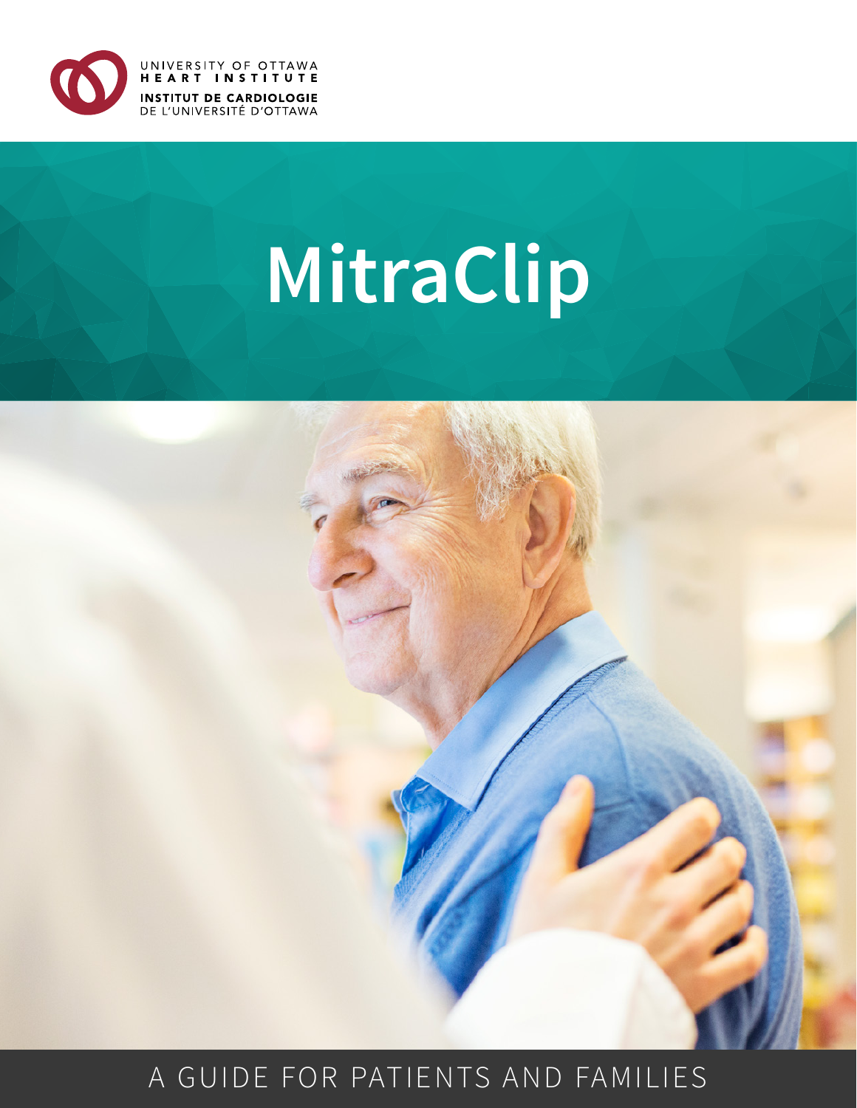

# **MitraClip**



# A GUIDE FOR PATIENTS AND FAMILIES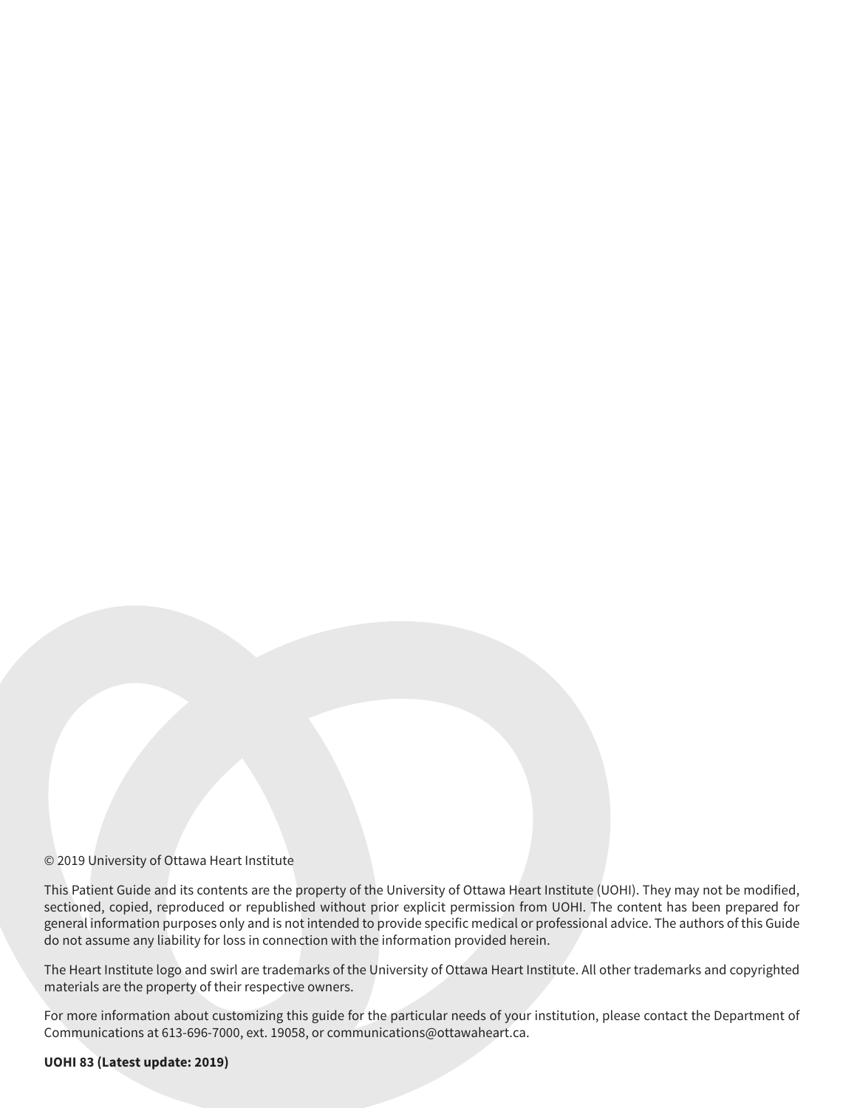#### © 2019 University of Ottawa Heart Institute

This Patient Guide and its contents are the property of the University of Ottawa Heart Institute (UOHI). They may not be modified, sectioned, copied, reproduced or republished without prior explicit permission from UOHI. The content has been prepared for general information purposes only and is not intended to provide specific medical or professional advice. The authors of this Guide do not assume any liability for loss in connection with the information provided herein.

The Heart Institute logo and swirl are trademarks of the University of Ottawa Heart Institute. All other trademarks and copyrighted materials are the property of their respective owners.

For more information about customizing this guide for the particular needs of your institution, please contact the Department of Communications at 613-696-7000, ext. 19058, or communications@ottawaheart.ca.

#### **UOHI 83 (Latest update: 2019)**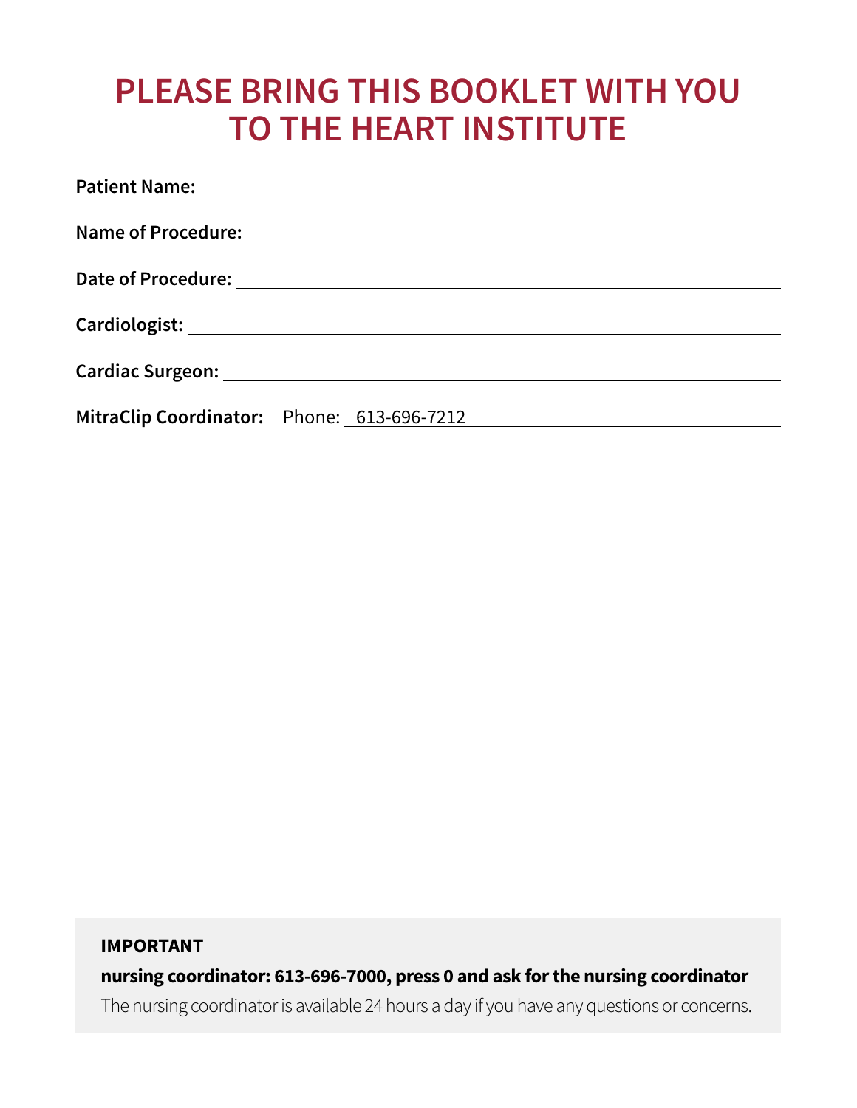# **PLEASE BRING THIS BOOKLET WITH YOU TO THE HEART INSTITUTE**

|                                            | Cardiologist: National Cardiologist: National Cardiologist: National Cardiologist: National Cardiologist: National Cardiologist: National Cardiologist: National Cardiologist: National Cardiologist: National Cardiologist: N |
|--------------------------------------------|--------------------------------------------------------------------------------------------------------------------------------------------------------------------------------------------------------------------------------|
|                                            |                                                                                                                                                                                                                                |
| MitraClip Coordinator: Phone: 613-696-7212 |                                                                                                                                                                                                                                |

### **IMPORTANT**

**nursing coordinator: 613-696-7000, press 0 and ask for the nursing coordinator**

The nursing coordinator is available 24 hours a day if you have any questions or concerns.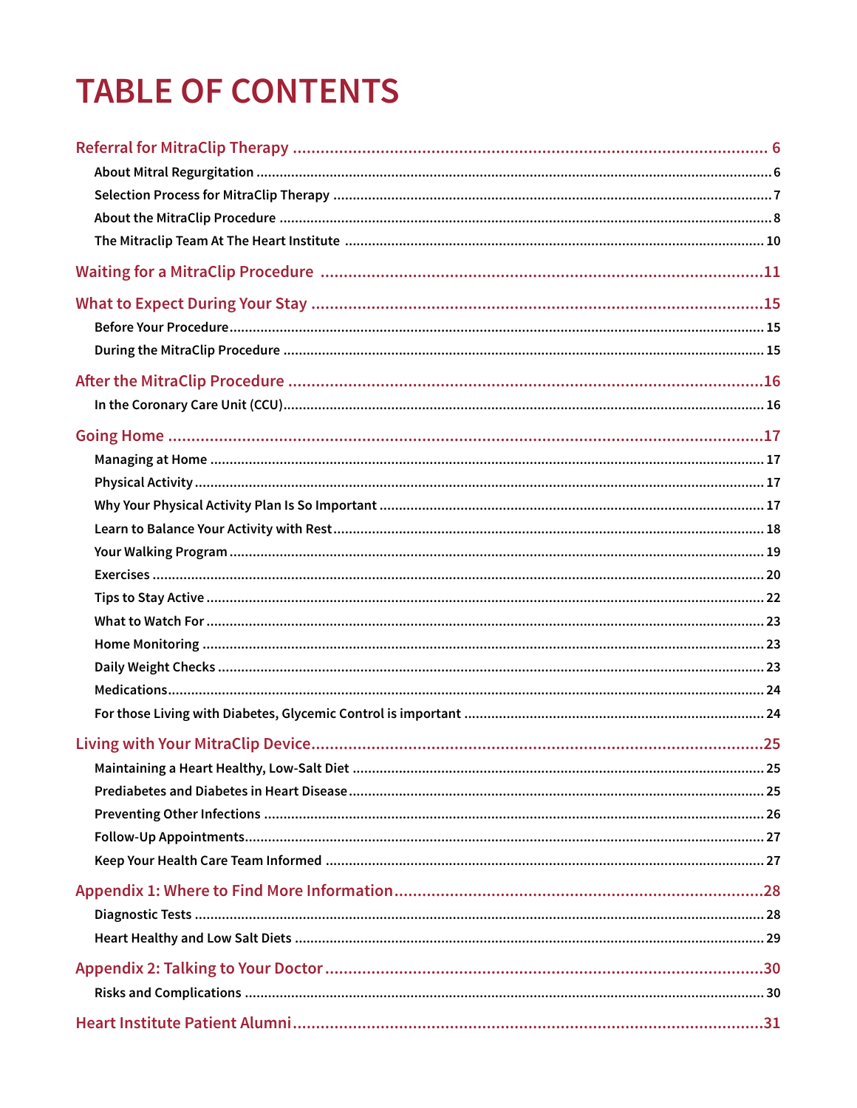# **TABLE OF CONTENTS**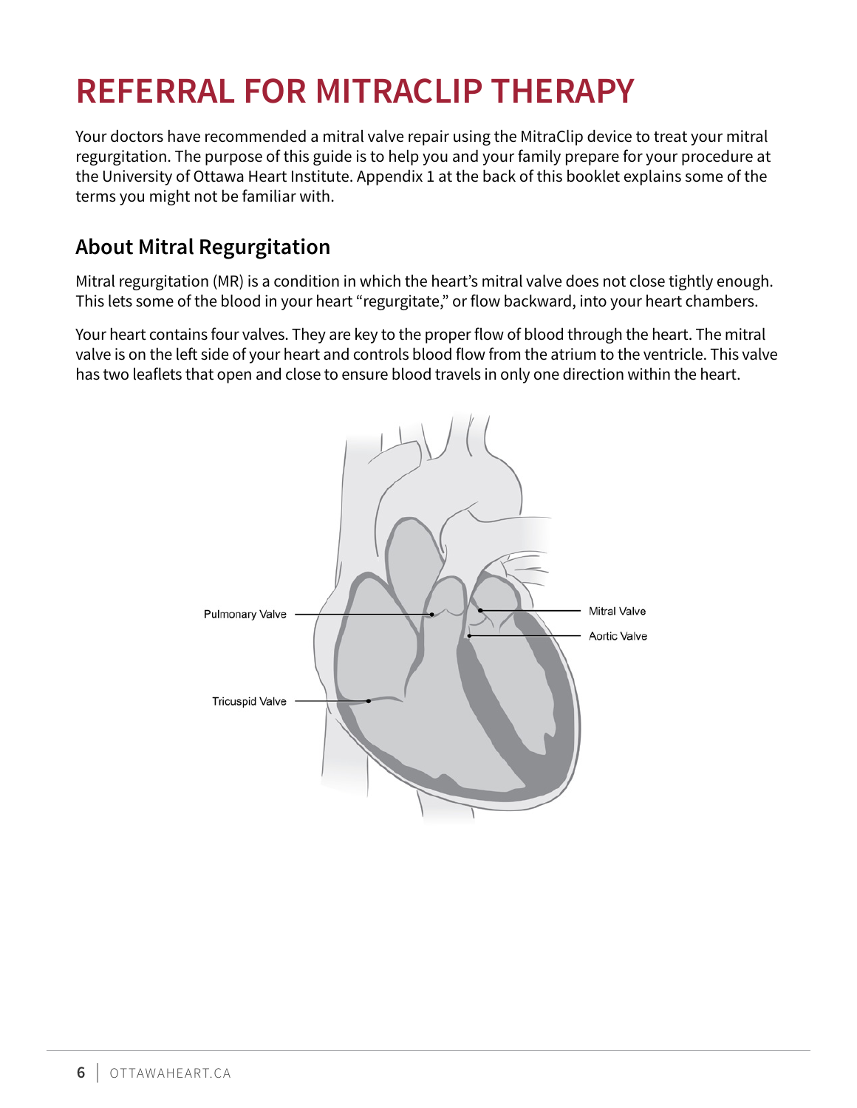# <span id="page-5-0"></span>**REFERRAL FOR MITRACLIP THERAPY**

Your doctors have recommended a mitral valve repair using the MitraClip device to treat your mitral regurgitation. The purpose of this guide is to help you and your family prepare for your procedure at the University of Ottawa Heart Institute. Appendix 1 at the back of this booklet explains some of the terms you might not be familiar with.

# **About Mitral Regurgitation**

Mitral regurgitation (MR) is a condition in which the heart's mitral valve does not close tightly enough. This lets some of the blood in your heart "regurgitate," or flow backward, into your heart chambers.

Your heart contains four valves. They are key to the proper flow of blood through the heart. The mitral valve is on the left side of your heart and controls blood flow from the atrium to the ventricle. This valve has two leaflets that open and close to ensure blood travels in only one direction within the heart.

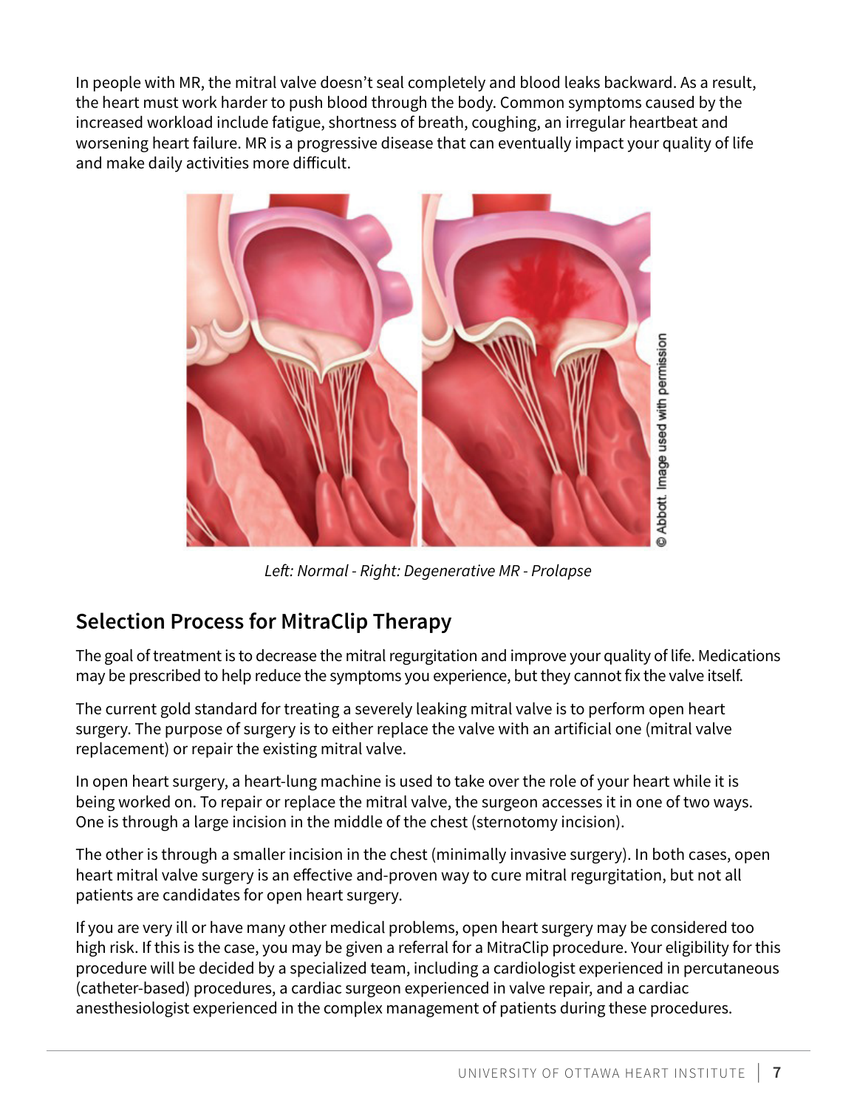<span id="page-6-0"></span>In people with MR, the mitral valve doesn't seal completely and blood leaks backward. As a result, the heart must work harder to push blood through the body. Common symptoms caused by the increased workload include fatigue, shortness of breath, coughing, an irregular heartbeat and worsening heart failure. MR is a progressive disease that can eventually impact your quality of life and make daily activities more difficult.



*Left: Normal - Right: Degenerative MR - Prolapse*

# **Selection Process for MitraClip Therapy**

The goal of treatment is to decrease the mitral regurgitation and improve your quality of life. Medications may be prescribed to help reduce the symptoms you experience, but they cannot fix the valve itself.

The current gold standard for treating a severely leaking mitral valve is to perform open heart surgery. The purpose of surgery is to either replace the valve with an artificial one (mitral valve replacement) or repair the existing mitral valve.

In open heart surgery, a heart-lung machine is used to take over the role of your heart while it is being worked on. To repair or replace the mitral valve, the surgeon accesses it in one of two ways. One is through a large incision in the middle of the chest (sternotomy incision).

The other is through a smaller incision in the chest (minimally invasive surgery). In both cases, open heart mitral valve surgery is an effective and-proven way to cure mitral regurgitation, but not all patients are candidates for open heart surgery.

If you are very ill or have many other medical problems, open heart surgery may be considered too high risk. If this is the case, you may be given a referral for a MitraClip procedure. Your eligibility for this procedure will be decided by a specialized team, including a cardiologist experienced in percutaneous (catheter-based) procedures, a cardiac surgeon experienced in valve repair, and a cardiac anesthesiologist experienced in the complex management of patients during these procedures.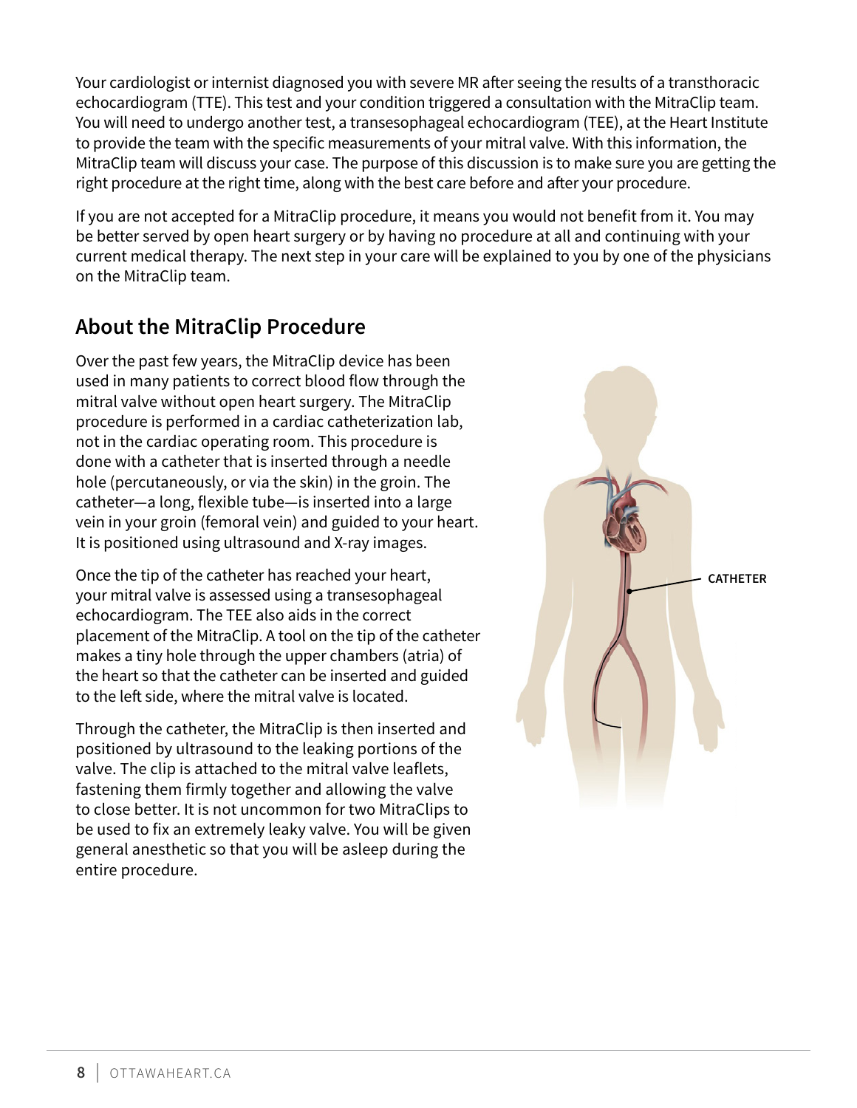<span id="page-7-0"></span>Your cardiologist or internist diagnosed you with severe MR after seeing the results of a transthoracic echocardiogram (TTE). This test and your condition triggered a consultation with the MitraClip team. You will need to undergo another test, a transesophageal echocardiogram (TEE), at the Heart Institute to provide the team with the specific measurements of your mitral valve. With this information, the MitraClip team will discuss your case. The purpose of this discussion is to make sure you are getting the right procedure at the right time, along with the best care before and after your procedure.

If you are not accepted for a MitraClip procedure, it means you would not benefit from it. You may be better served by open heart surgery or by having no procedure at all and continuing with your current medical therapy. The next step in your care will be explained to you by one of the physicians on the MitraClip team.

# **About the MitraClip Procedure**

Over the past few years, the MitraClip device has been used in many patients to correct blood flow through the mitral valve without open heart surgery. The MitraClip procedure is performed in a cardiac catheterization lab, not in the cardiac operating room. This procedure is done with a catheter that is inserted through a needle hole (percutaneously, or via the skin) in the groin. The catheter—a long, flexible tube—is inserted into a large vein in your groin (femoral vein) and guided to your heart. It is positioned using ultrasound and X-ray images.

Once the tip of the catheter has reached your heart, your mitral valve is assessed using a transesophageal echocardiogram. The TEE also aids in the correct placement of the MitraClip. A tool on the tip of the catheter makes a tiny hole through the upper chambers (atria) of the heart so that the catheter can be inserted and guided to the left side, where the mitral valve is located.

Through the catheter, the MitraClip is then inserted and positioned by ultrasound to the leaking portions of the valve. The clip is attached to the mitral valve leaflets, fastening them firmly together and allowing the valve to close better. It is not uncommon for two MitraClips to be used to fix an extremely leaky valve. You will be given general anesthetic so that you will be asleep during the entire procedure.

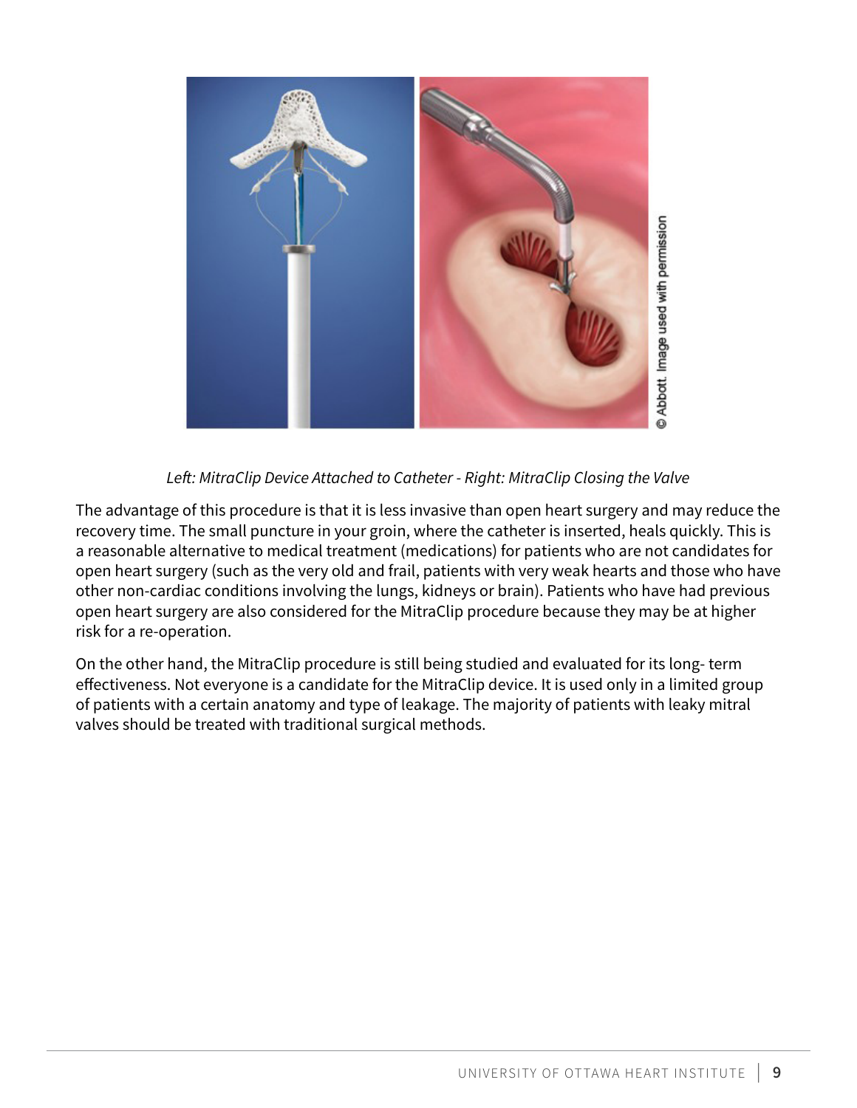

### *Left: MitraClip Device Attached to Catheter - Right: MitraClip Closing the Valve*

The advantage of this procedure is that it is less invasive than open heart surgery and may reduce the recovery time. The small puncture in your groin, where the catheter is inserted, heals quickly. This is a reasonable alternative to medical treatment (medications) for patients who are not candidates for open heart surgery (such as the very old and frail, patients with very weak hearts and those who have other non-cardiac conditions involving the lungs, kidneys or brain). Patients who have had previous open heart surgery are also considered for the MitraClip procedure because they may be at higher risk for a re-operation.

On the other hand, the MitraClip procedure is still being studied and evaluated for its long- term effectiveness. Not everyone is a candidate for the MitraClip device. It is used only in a limited group of patients with a certain anatomy and type of leakage. The majority of patients with leaky mitral valves should be treated with traditional surgical methods.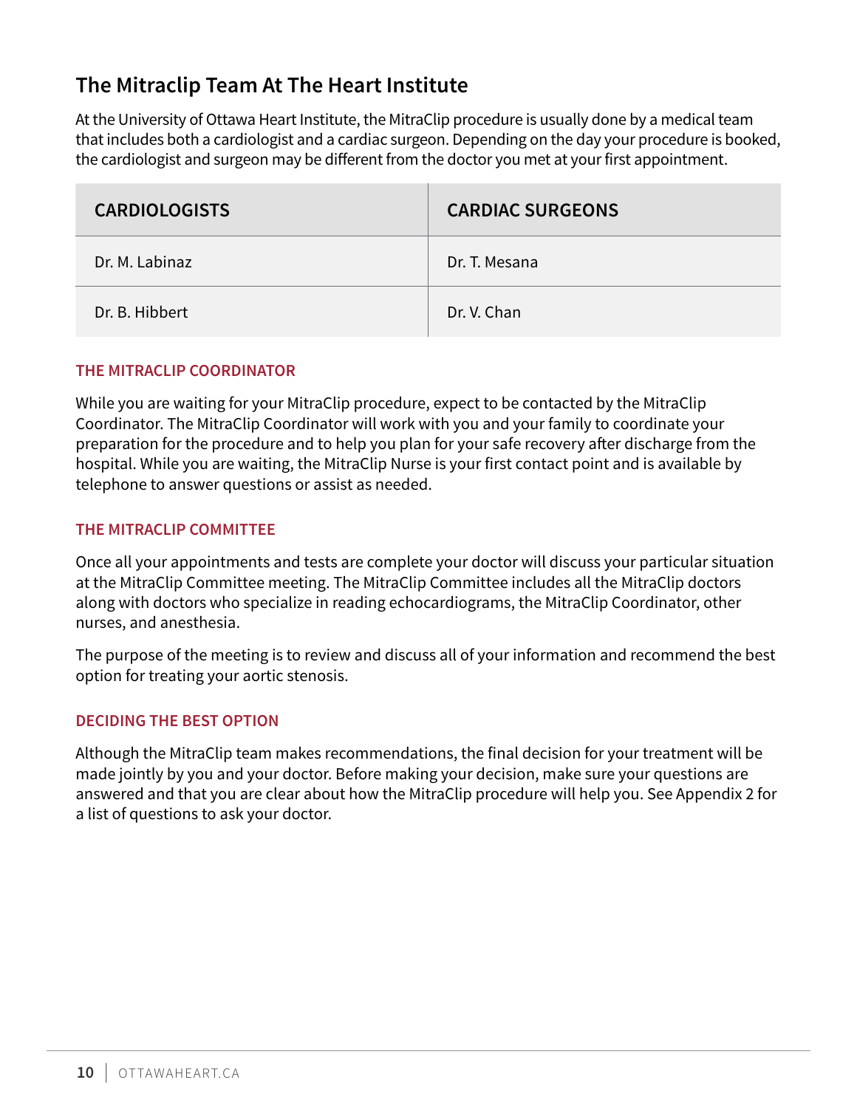# <span id="page-9-0"></span>**The Mitraclip Team At The Heart Institute**

At the University of Ottawa Heart Institute, the MitraClip procedure is usually done by a medical team that includes both a cardiologist and a cardiac surgeon. Depending on the day your procedure is booked, the cardiologist and surgeon may be different from the doctor you met at your first appointment.

| <b>CARDIOLOGISTS</b> | <b>CARDIAC SURGEONS</b> |
|----------------------|-------------------------|
| Dr. M. Labinaz       | Dr. T. Mesana           |
| Dr. B. Hibbert       | Dr. V. Chan             |

#### **THE MITRACLIP COORDINATOR**

While you are waiting for your MitraClip procedure, expect to be contacted by the MitraClip Coordinator. The MitraClip Coordinator will work with you and your family to coordinate your preparation for the procedure and to help you plan for your safe recovery after discharge from the hospital. While you are waiting, the MitraClip Nurse is your first contact point and is available by telephone to answer questions or assist as needed.

### **THE MITRACLIP COMMITTEE**

Once all your appointments and tests are complete your doctor will discuss your particular situation at the MitraClip Committee meeting. The MitraClip Committee includes all the MitraClip doctors along with doctors who specialize in reading echocardiograms, the MitraClip Coordinator, other nurses, and anesthesia.

The purpose of the meeting is to review and discuss all of your information and recommend the best option for treating your aortic stenosis.

### **DECIDING THE BEST OPTION**

Although the MitraClip team makes recommendations, the final decision for your treatment will be made jointly by you and your doctor. Before making your decision, make sure your questions are answered and that you are clear about how the MitraClip procedure will help you. See Appendix 2 for a list of questions to ask your doctor.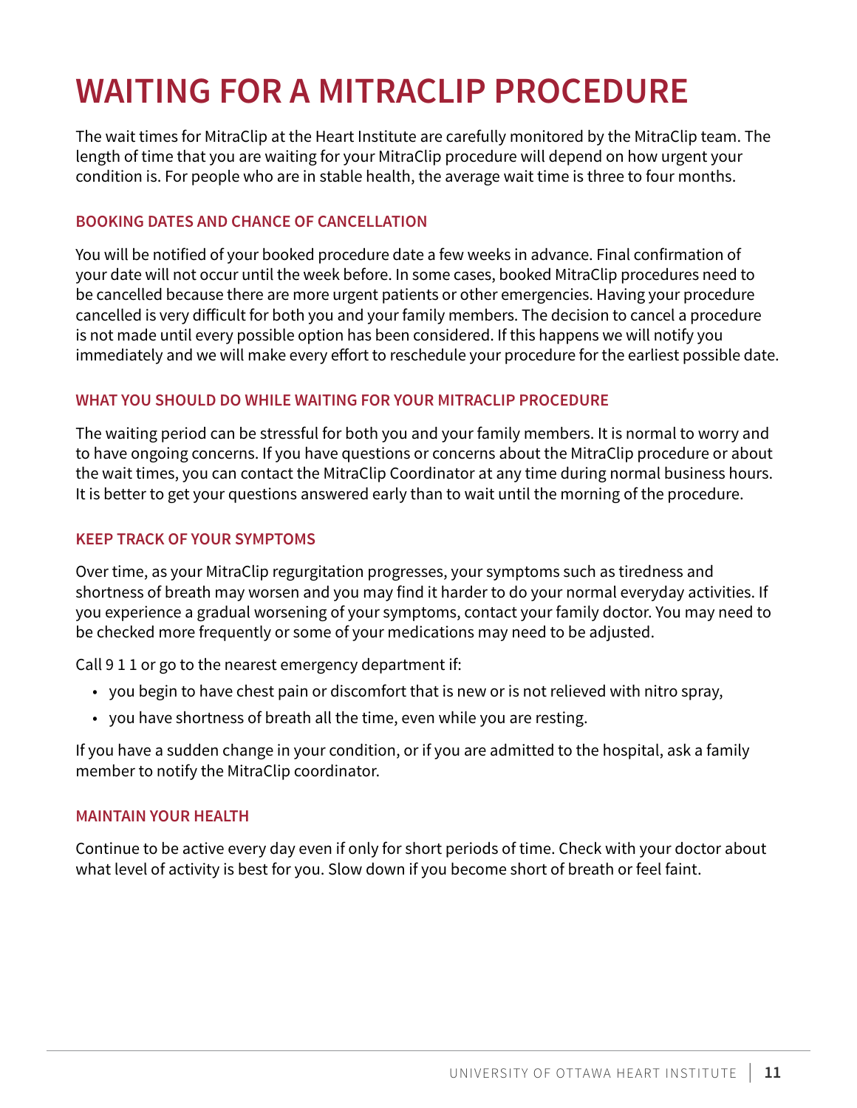# <span id="page-10-0"></span>**WAITING FOR A MITRACLIP PROCEDURE**

The wait times for MitraClip at the Heart Institute are carefully monitored by the MitraClip team. The length of time that you are waiting for your MitraClip procedure will depend on how urgent your condition is. For people who are in stable health, the average wait time is three to four months.

### **BOOKING DATES AND CHANCE OF CANCELLATION**

You will be notified of your booked procedure date a few weeks in advance. Final confirmation of your date will not occur until the week before. In some cases, booked MitraClip procedures need to be cancelled because there are more urgent patients or other emergencies. Having your procedure cancelled is very difficult for both you and your family members. The decision to cancel a procedure is not made until every possible option has been considered. If this happens we will notify you immediately and we will make every effort to reschedule your procedure for the earliest possible date.

### **WHAT YOU SHOULD DO WHILE WAITING FOR YOUR MITRACLIP PROCEDURE**

The waiting period can be stressful for both you and your family members. It is normal to worry and to have ongoing concerns. If you have questions or concerns about the MitraClip procedure or about the wait times, you can contact the MitraClip Coordinator at any time during normal business hours. It is better to get your questions answered early than to wait until the morning of the procedure.

### **KEEP TRACK OF YOUR SYMPTOMS**

Over time, as your MitraClip regurgitation progresses, your symptoms such as tiredness and shortness of breath may worsen and you may find it harder to do your normal everyday activities. If you experience a gradual worsening of your symptoms, contact your family doctor. You may need to be checked more frequently or some of your medications may need to be adjusted.

Call 9 1 1 or go to the nearest emergency department if:

- you begin to have chest pain or discomfort that is new or is not relieved with nitro spray,
- you have shortness of breath all the time, even while you are resting.

If you have a sudden change in your condition, or if you are admitted to the hospital, ask a family member to notify the MitraClip coordinator.

#### **MAINTAIN YOUR HEALTH**

Continue to be active every day even if only for short periods of time. Check with your doctor about what level of activity is best for you. Slow down if you become short of breath or feel faint.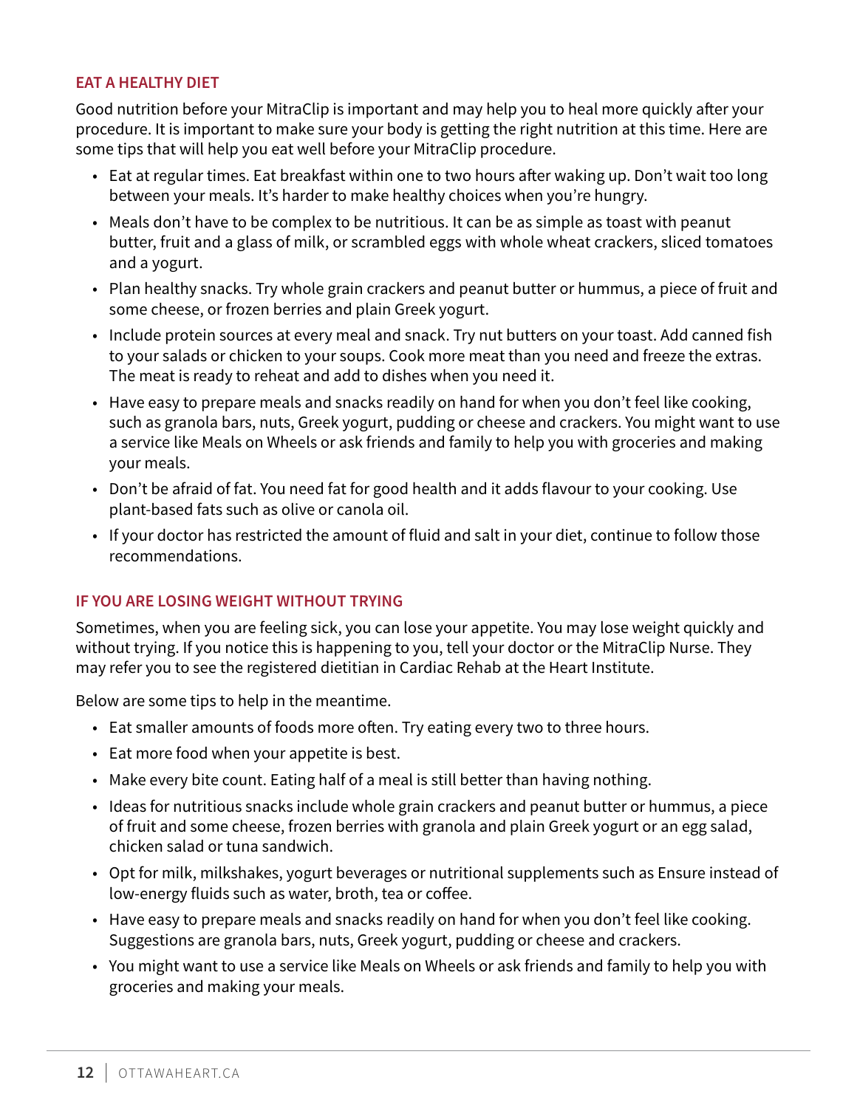#### **EAT A HEALTHY DIET**

Good nutrition before your MitraClip is important and may help you to heal more quickly after your procedure. It is important to make sure your body is getting the right nutrition at this time. Here are some tips that will help you eat well before your MitraClip procedure.

- Eat at regular times. Eat breakfast within one to two hours after waking up. Don't wait too long between your meals. It's harder to make healthy choices when you're hungry.
- Meals don't have to be complex to be nutritious. It can be as simple as toast with peanut butter, fruit and a glass of milk, or scrambled eggs with whole wheat crackers, sliced tomatoes and a yogurt.
- Plan healthy snacks. Try whole grain crackers and peanut butter or hummus, a piece of fruit and some cheese, or frozen berries and plain Greek yogurt.
- Include protein sources at every meal and snack. Try nut butters on your toast. Add canned fish to your salads or chicken to your soups. Cook more meat than you need and freeze the extras. The meat is ready to reheat and add to dishes when you need it.
- Have easy to prepare meals and snacks readily on hand for when you don't feel like cooking, such as granola bars, nuts, Greek yogurt, pudding or cheese and crackers. You might want to use a service like Meals on Wheels or ask friends and family to help you with groceries and making your meals.
- Don't be afraid of fat. You need fat for good health and it adds flavour to your cooking. Use plant-based fats such as olive or canola oil.
- If your doctor has restricted the amount of fluid and salt in your diet, continue to follow those recommendations.

#### **IF YOU ARE LOSING WEIGHT WITHOUT TRYING**

Sometimes, when you are feeling sick, you can lose your appetite. You may lose weight quickly and without trying. If you notice this is happening to you, tell your doctor or the MitraClip Nurse. They may refer you to see the registered dietitian in Cardiac Rehab at the Heart Institute.

Below are some tips to help in the meantime.

- Eat smaller amounts of foods more often. Try eating every two to three hours.
- Eat more food when your appetite is best.
- Make every bite count. Eating half of a meal is still better than having nothing.
- Ideas for nutritious snacks include whole grain crackers and peanut butter or hummus, a piece of fruit and some cheese, frozen berries with granola and plain Greek yogurt or an egg salad, chicken salad or tuna sandwich.
- Opt for milk, milkshakes, yogurt beverages or nutritional supplements such as Ensure instead of low-energy fluids such as water, broth, tea or coffee.
- Have easy to prepare meals and snacks readily on hand for when you don't feel like cooking. Suggestions are granola bars, nuts, Greek yogurt, pudding or cheese and crackers.
- You might want to use a service like Meals on Wheels or ask friends and family to help you with groceries and making your meals.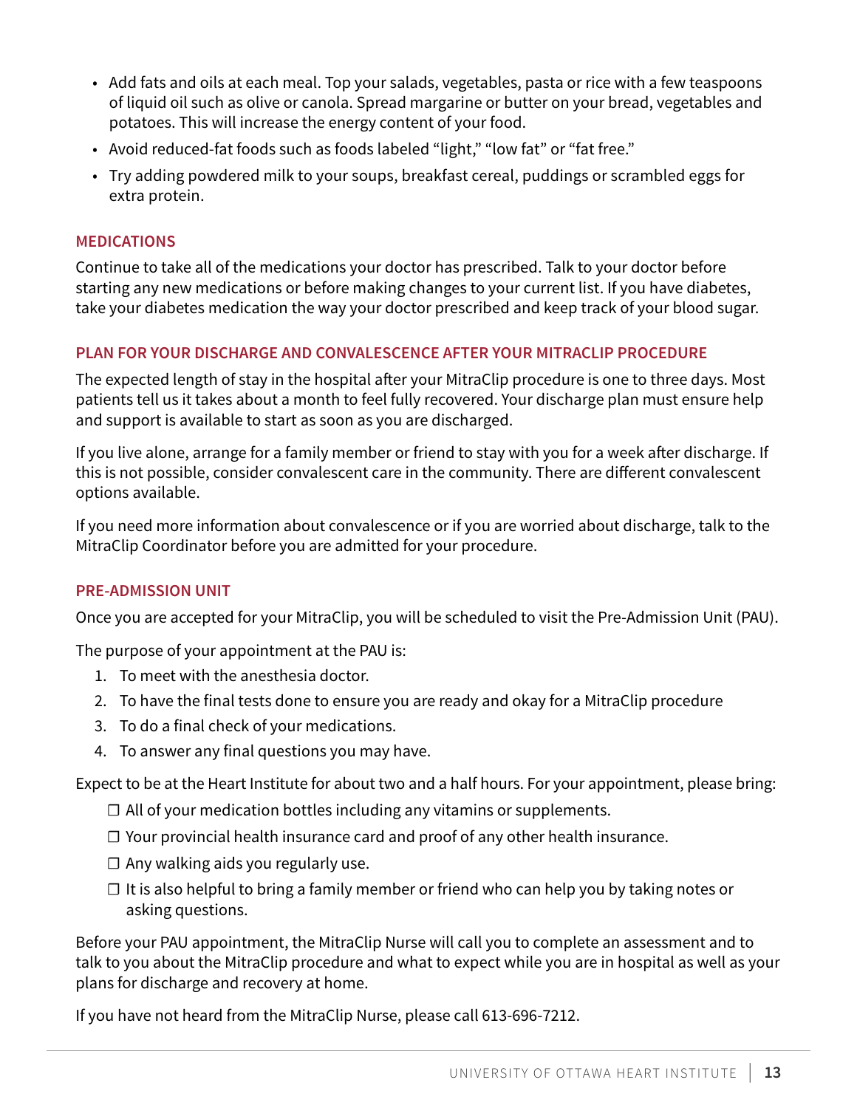- Add fats and oils at each meal. Top your salads, vegetables, pasta or rice with a few teaspoons of liquid oil such as olive or canola. Spread margarine or butter on your bread, vegetables and potatoes. This will increase the energy content of your food.
- Avoid reduced-fat foods such as foods labeled "light," "low fat" or "fat free."
- Try adding powdered milk to your soups, breakfast cereal, puddings or scrambled eggs for extra protein.

#### **MEDICATIONS**

Continue to take all of the medications your doctor has prescribed. Talk to your doctor before starting any new medications or before making changes to your current list. If you have diabetes, take your diabetes medication the way your doctor prescribed and keep track of your blood sugar.

### **PLAN FOR YOUR DISCHARGE AND CONVALESCENCE AFTER YOUR MITRACLIP PROCEDURE**

The expected length of stay in the hospital after your MitraClip procedure is one to three days. Most patients tell us it takes about a month to feel fully recovered. Your discharge plan must ensure help and support is available to start as soon as you are discharged.

If you live alone, arrange for a family member or friend to stay with you for a week after discharge. If this is not possible, consider convalescent care in the community. There are different convalescent options available.

If you need more information about convalescence or if you are worried about discharge, talk to the MitraClip Coordinator before you are admitted for your procedure.

#### **PRE-ADMISSION UNIT**

Once you are accepted for your MitraClip, you will be scheduled to visit the Pre-Admission Unit (PAU).

The purpose of your appointment at the PAU is:

- 1. To meet with the anesthesia doctor.
- 2. To have the final tests done to ensure you are ready and okay for a MitraClip procedure
- 3. To do a final check of your medications.
- 4. To answer any final questions you may have.

Expect to be at the Heart Institute for about two and a half hours. For your appointment, please bring:

- $\Box$  All of your medication bottles including any vitamins or supplements.
- ☐ Your provincial health insurance card and proof of any other health insurance.
- $\Box$  Any walking aids you regularly use.
- $\Box$  It is also helpful to bring a family member or friend who can help you by taking notes or asking questions.

Before your PAU appointment, the MitraClip Nurse will call you to complete an assessment and to talk to you about the MitraClip procedure and what to expect while you are in hospital as well as your plans for discharge and recovery at home.

If you have not heard from the MitraClip Nurse, please call 613-696-7212.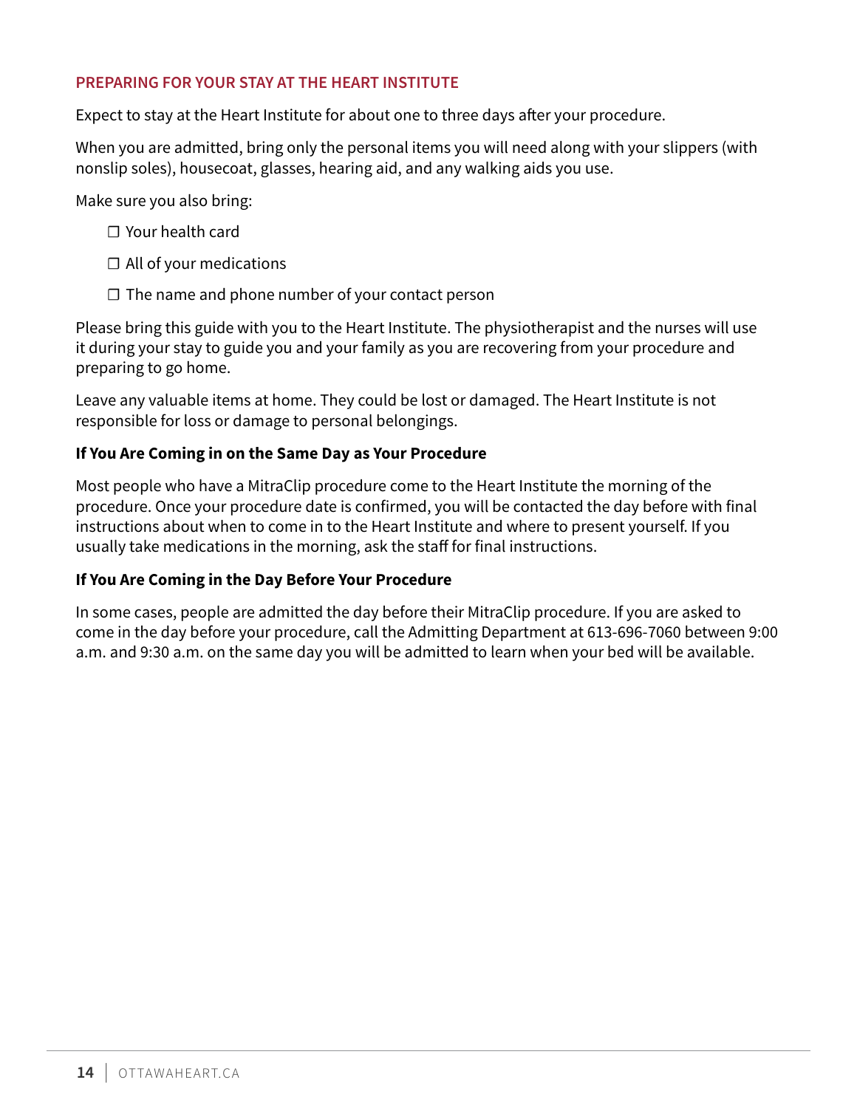#### **PREPARING FOR YOUR STAY AT THE HEART INSTITUTE**

Expect to stay at the Heart Institute for about one to three days after your procedure.

When you are admitted, bring only the personal items you will need along with your slippers (with nonslip soles), housecoat, glasses, hearing aid, and any walking aids you use.

Make sure you also bring:

- ☐ Your health card
- $\Box$  All of your medications
- $\Box$  The name and phone number of your contact person

Please bring this guide with you to the Heart Institute. The physiotherapist and the nurses will use it during your stay to guide you and your family as you are recovering from your procedure and preparing to go home.

Leave any valuable items at home. They could be lost or damaged. The Heart Institute is not responsible for loss or damage to personal belongings.

### **If You Are Coming in on the Same Day as Your Procedure**

Most people who have a MitraClip procedure come to the Heart Institute the morning of the procedure. Once your procedure date is confirmed, you will be contacted the day before with final instructions about when to come in to the Heart Institute and where to present yourself. If you usually take medications in the morning, ask the staff for final instructions.

#### **If You Are Coming in the Day Before Your Procedure**

In some cases, people are admitted the day before their MitraClip procedure. If you are asked to come in the day before your procedure, call the Admitting Department at 613-696-7060 between 9:00 a.m. and 9:30 a.m. on the same day you will be admitted to learn when your bed will be available.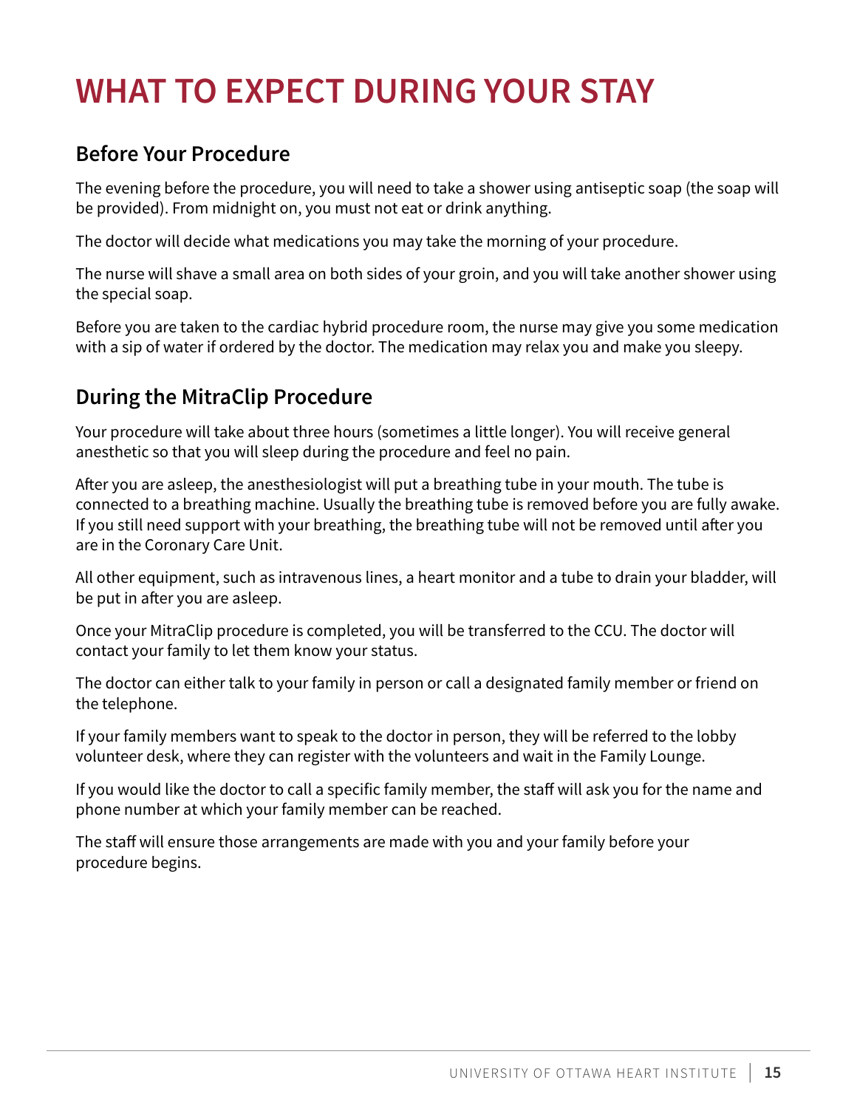# <span id="page-14-0"></span>**WHAT TO EXPECT DURING YOUR STAY**

# **Before Your Procedure**

The evening before the procedure, you will need to take a shower using antiseptic soap (the soap will be provided). From midnight on, you must not eat or drink anything.

The doctor will decide what medications you may take the morning of your procedure.

The nurse will shave a small area on both sides of your groin, and you will take another shower using the special soap.

Before you are taken to the cardiac hybrid procedure room, the nurse may give you some medication with a sip of water if ordered by the doctor. The medication may relax you and make you sleepy.

# **During the MitraClip Procedure**

Your procedure will take about three hours (sometimes a little longer). You will receive general anesthetic so that you will sleep during the procedure and feel no pain.

After you are asleep, the anesthesiologist will put a breathing tube in your mouth. The tube is connected to a breathing machine. Usually the breathing tube is removed before you are fully awake. If you still need support with your breathing, the breathing tube will not be removed until after you are in the Coronary Care Unit.

All other equipment, such as intravenous lines, a heart monitor and a tube to drain your bladder, will be put in after you are asleep.

Once your MitraClip procedure is completed, you will be transferred to the CCU. The doctor will contact your family to let them know your status.

The doctor can either talk to your family in person or call a designated family member or friend on the telephone.

If your family members want to speak to the doctor in person, they will be referred to the lobby volunteer desk, where they can register with the volunteers and wait in the Family Lounge.

If you would like the doctor to call a specific family member, the staff will ask you for the name and phone number at which your family member can be reached.

The staff will ensure those arrangements are made with you and your family before your procedure begins.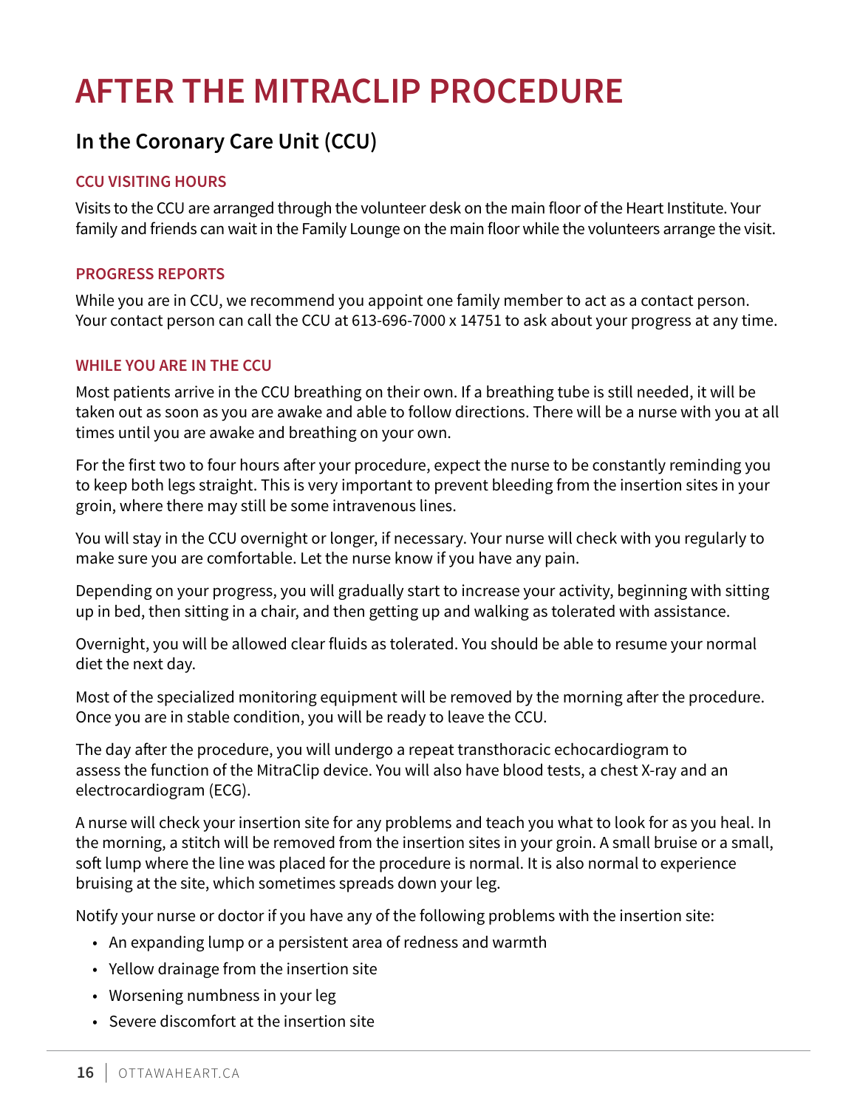# <span id="page-15-0"></span>**AFTER THE MITRACLIP PROCEDURE**

# **In the Coronary Care Unit (CCU)**

### **CCU VISITING HOURS**

Visits to the CCU are arranged through the volunteer desk on the main floor of the Heart Institute. Your family and friends can wait in the Family Lounge on the main floor while the volunteers arrange the visit.

#### **PROGRESS REPORTS**

While you are in CCU, we recommend you appoint one family member to act as a contact person. Your contact person can call the CCU at 613-696-7000 x 14751 to ask about your progress at any time.

#### **WHILE YOU ARE IN THE CCU**

Most patients arrive in the CCU breathing on their own. If a breathing tube is still needed, it will be taken out as soon as you are awake and able to follow directions. There will be a nurse with you at all times until you are awake and breathing on your own.

For the first two to four hours after your procedure, expect the nurse to be constantly reminding you to keep both legs straight. This is very important to prevent bleeding from the insertion sites in your groin, where there may still be some intravenous lines.

You will stay in the CCU overnight or longer, if necessary. Your nurse will check with you regularly to make sure you are comfortable. Let the nurse know if you have any pain.

Depending on your progress, you will gradually start to increase your activity, beginning with sitting up in bed, then sitting in a chair, and then getting up and walking as tolerated with assistance.

Overnight, you will be allowed clear fluids as tolerated. You should be able to resume your normal diet the next day.

Most of the specialized monitoring equipment will be removed by the morning after the procedure. Once you are in stable condition, you will be ready to leave the CCU.

The day after the procedure, you will undergo a repeat transthoracic echocardiogram to assess the function of the MitraClip device. You will also have blood tests, a chest X-ray and an electrocardiogram (ECG).

A nurse will check your insertion site for any problems and teach you what to look for as you heal. In the morning, a stitch will be removed from the insertion sites in your groin. A small bruise or a small, soft lump where the line was placed for the procedure is normal. It is also normal to experience bruising at the site, which sometimes spreads down your leg.

Notify your nurse or doctor if you have any of the following problems with the insertion site:

- An expanding lump or a persistent area of redness and warmth
- Yellow drainage from the insertion site
- Worsening numbness in your leg
- Severe discomfort at the insertion site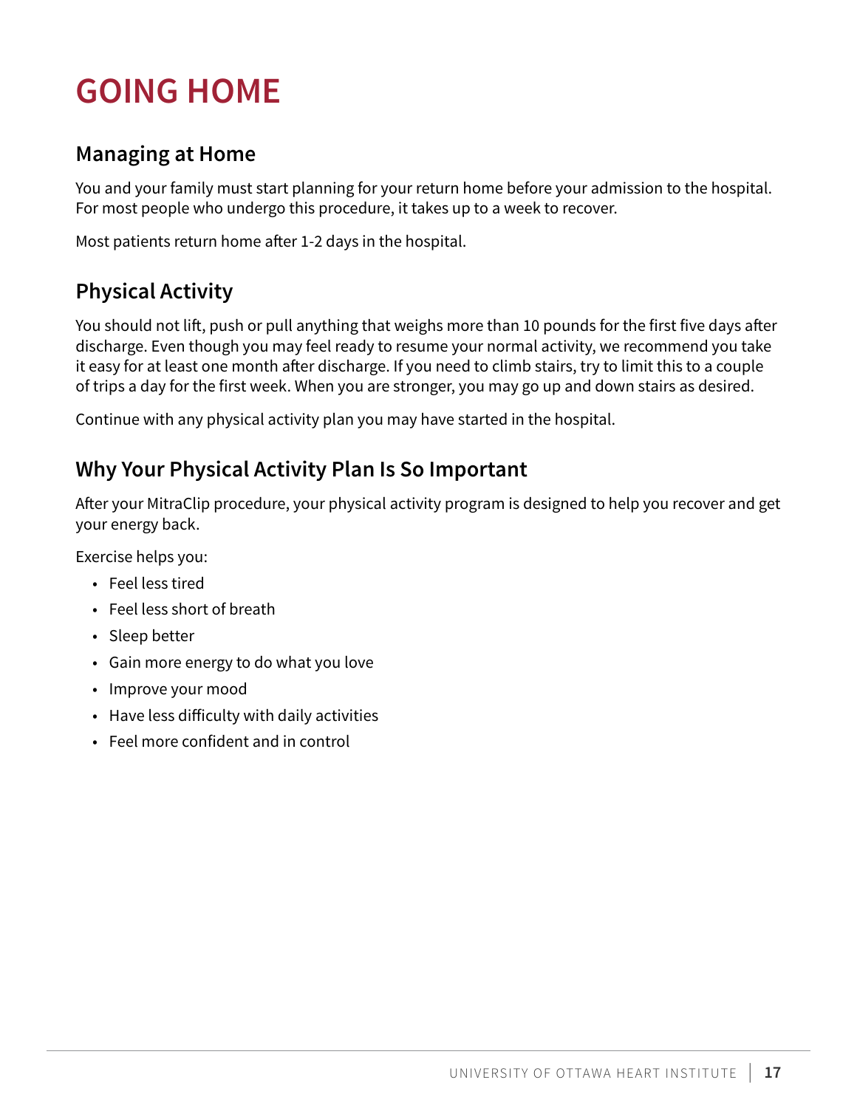# <span id="page-16-0"></span>**GOING HOME**

# **Managing at Home**

You and your family must start planning for your return home before your admission to the hospital. For most people who undergo this procedure, it takes up to a week to recover.

Most patients return home after 1-2 days in the hospital.

# **Physical Activity**

You should not lift, push or pull anything that weighs more than 10 pounds for the first five days after discharge. Even though you may feel ready to resume your normal activity, we recommend you take it easy for at least one month after discharge. If you need to climb stairs, try to limit this to a couple of trips a day for the first week. When you are stronger, you may go up and down stairs as desired.

Continue with any physical activity plan you may have started in the hospital.

# **Why Your Physical Activity Plan Is So Important**

After your MitraClip procedure, your physical activity program is designed to help you recover and get your energy back.

Exercise helps you:

- Feel less tired
- Feel less short of breath
- Sleep better
- Gain more energy to do what you love
- Improve your mood
- Have less difficulty with daily activities
- Feel more confident and in control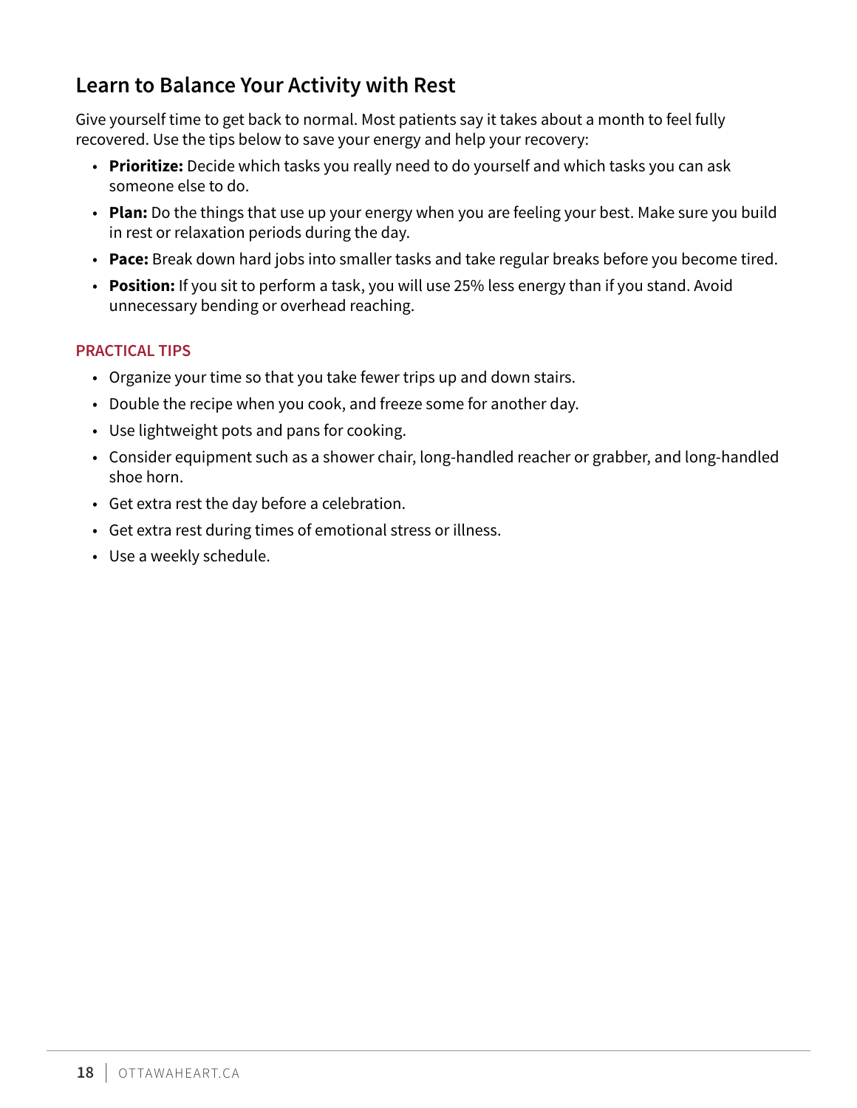# <span id="page-17-0"></span>**Learn to Balance Your Activity with Rest**

Give yourself time to get back to normal. Most patients say it takes about a month to feel fully recovered. Use the tips below to save your energy and help your recovery:

- **Prioritize:** Decide which tasks you really need to do yourself and which tasks you can ask someone else to do.
- **Plan:** Do the things that use up your energy when you are feeling your best. Make sure you build in rest or relaxation periods during the day.
- **Pace:** Break down hard jobs into smaller tasks and take regular breaks before you become tired.
- **Position:** If you sit to perform a task, you will use 25% less energy than if you stand. Avoid unnecessary bending or overhead reaching.

### **PRACTICAL TIPS**

- Organize your time so that you take fewer trips up and down stairs.
- Double the recipe when you cook, and freeze some for another day.
- Use lightweight pots and pans for cooking.
- Consider equipment such as a shower chair, long-handled reacher or grabber, and long-handled shoe horn.
- Get extra rest the day before a celebration.
- Get extra rest during times of emotional stress or illness.
- Use a weekly schedule.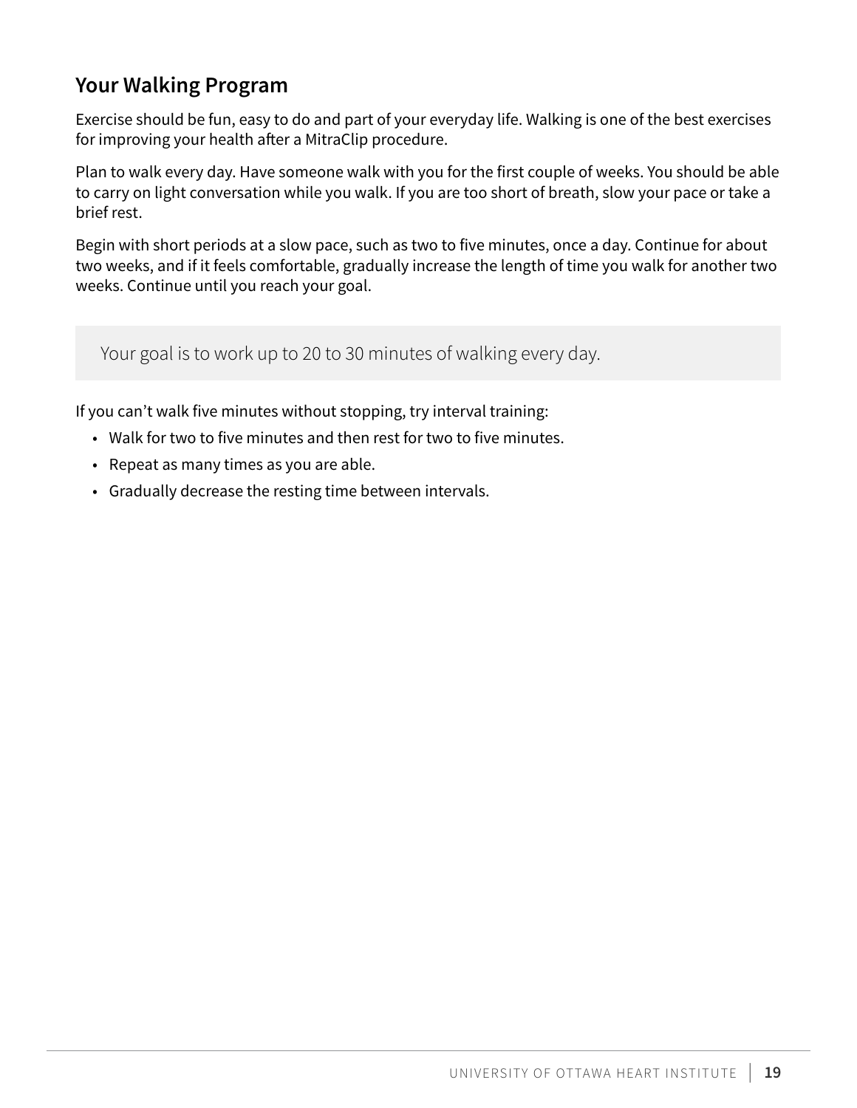# <span id="page-18-0"></span>**Your Walking Program**

Exercise should be fun, easy to do and part of your everyday life. Walking is one of the best exercises for improving your health after a MitraClip procedure.

Plan to walk every day. Have someone walk with you for the first couple of weeks. You should be able to carry on light conversation while you walk. If you are too short of breath, slow your pace or take a brief rest.

Begin with short periods at a slow pace, such as two to five minutes, once a day. Continue for about two weeks, and if it feels comfortable, gradually increase the length of time you walk for another two weeks. Continue until you reach your goal.

Your goal is to work up to 20 to 30 minutes of walking every day.

If you can't walk five minutes without stopping, try interval training:

- Walk for two to five minutes and then rest for two to five minutes.
- Repeat as many times as you are able.
- Gradually decrease the resting time between intervals.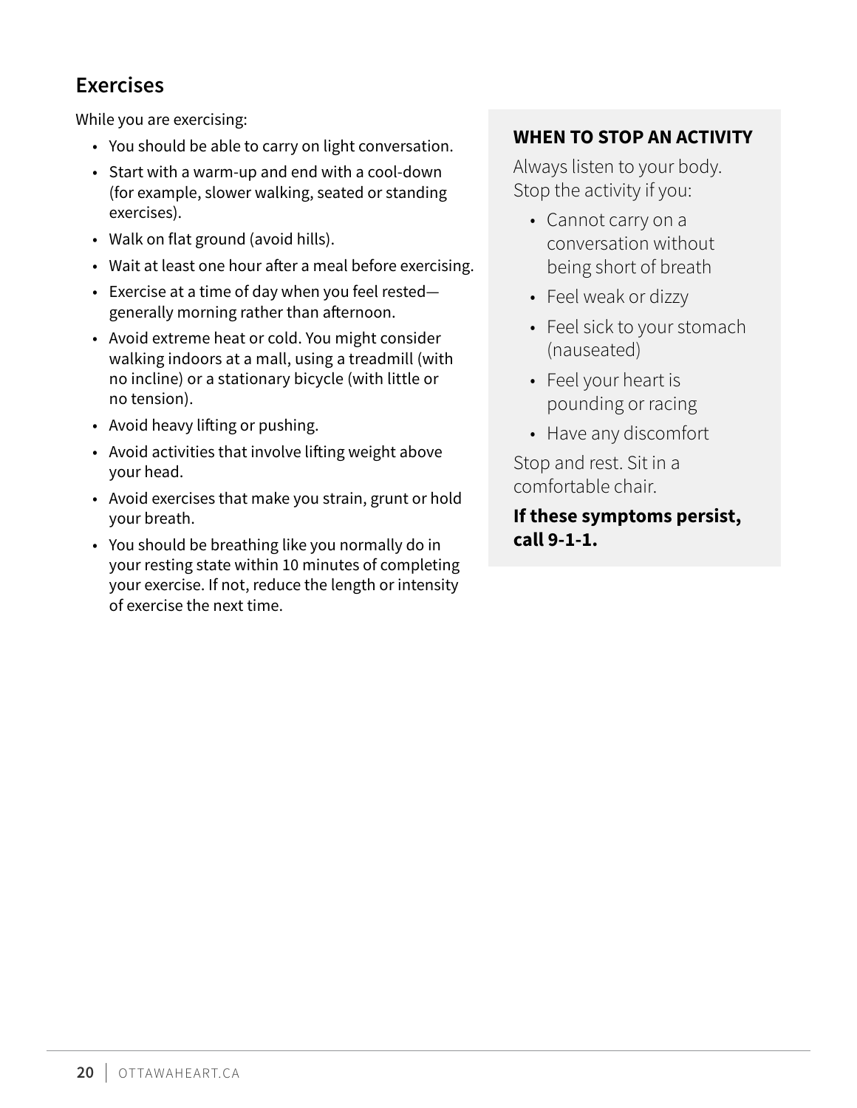# <span id="page-19-0"></span>**Exercises**

While you are exercising:

- You should be able to carry on light conversation.
- Start with a warm-up and end with a cool-down (for example, slower walking, seated or standing exercises).
- Walk on flat ground (avoid hills).
- Wait at least one hour after a meal before exercising.
- Exercise at a time of day when you feel rested generally morning rather than afternoon.
- Avoid extreme heat or cold. You might consider walking indoors at a mall, using a treadmill (with no incline) or a stationary bicycle (with little or no tension).
- Avoid heavy lifting or pushing.
- Avoid activities that involve lifting weight above your head.
- Avoid exercises that make you strain, grunt or hold your breath.
- You should be breathing like you normally do in your resting state within 10 minutes of completing your exercise. If not, reduce the length or intensity of exercise the next time.

### **WHEN TO STOP AN ACTIVITY**

Always listen to your body. Stop the activity if you:

- Cannot carry on a conversation without being short of breath
- Feel weak or dizzy
- Feel sick to your stomach (nauseated)
- Feel your heart is pounding or racing
- Have any discomfort

Stop and rest. Sit in a comfortable chair.

**If these symptoms persist, call 9-1-1.**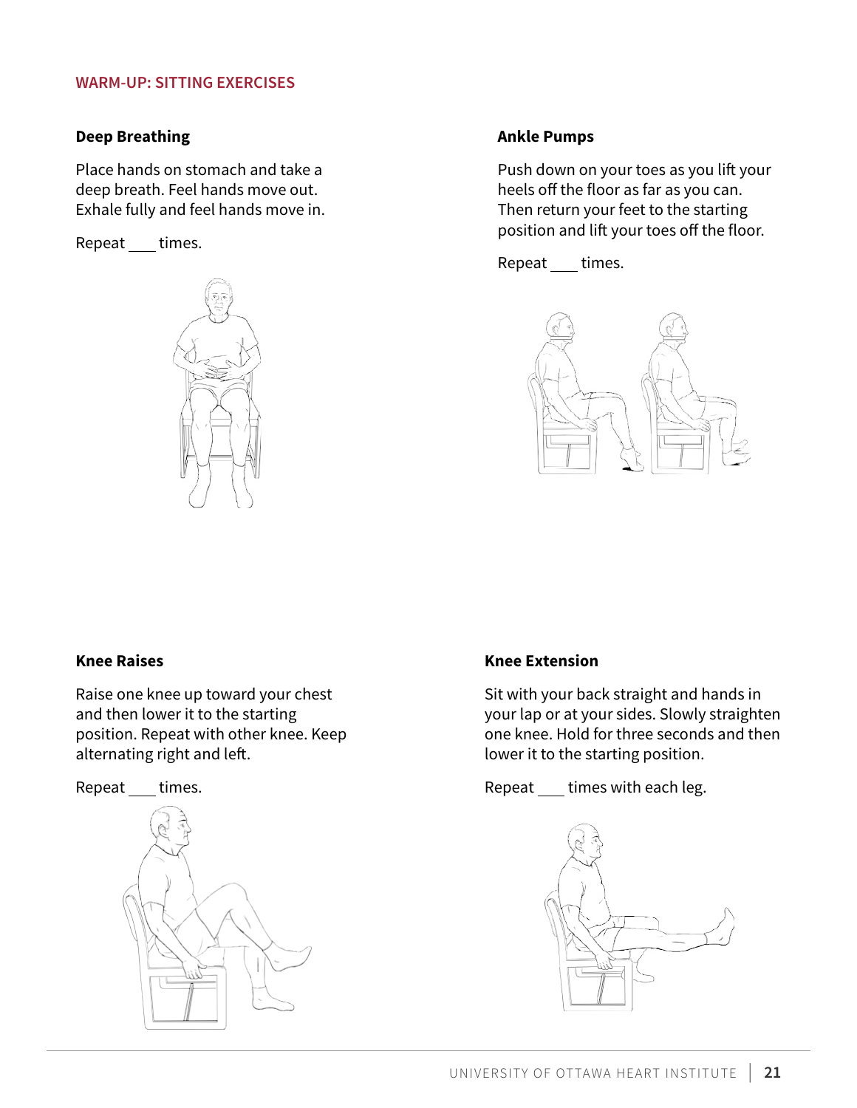#### **WARM-UP: SITTING EXERCISES**

#### **Deep Breathing**

Place hands on stomach and take a deep breath. Feel hands move out. Exhale fully and feel hands move in.

Repeat times.



#### **Ankle Pumps**

Push down on your toes as you lift your heels off the floor as far as you can. Then return your feet to the starting position and lift your toes off the floor.

Repeat \_\_ times.



#### **Knee Raises**

Raise one knee up toward your chest and then lower it to the starting position. Repeat with other knee. Keep alternating right and left.

Repeat times.



#### **Knee Extension**

Sit with your back straight and hands in your lap or at your sides. Slowly straighten one knee. Hold for three seconds and then lower it to the starting position.

Repeat times with each leg.

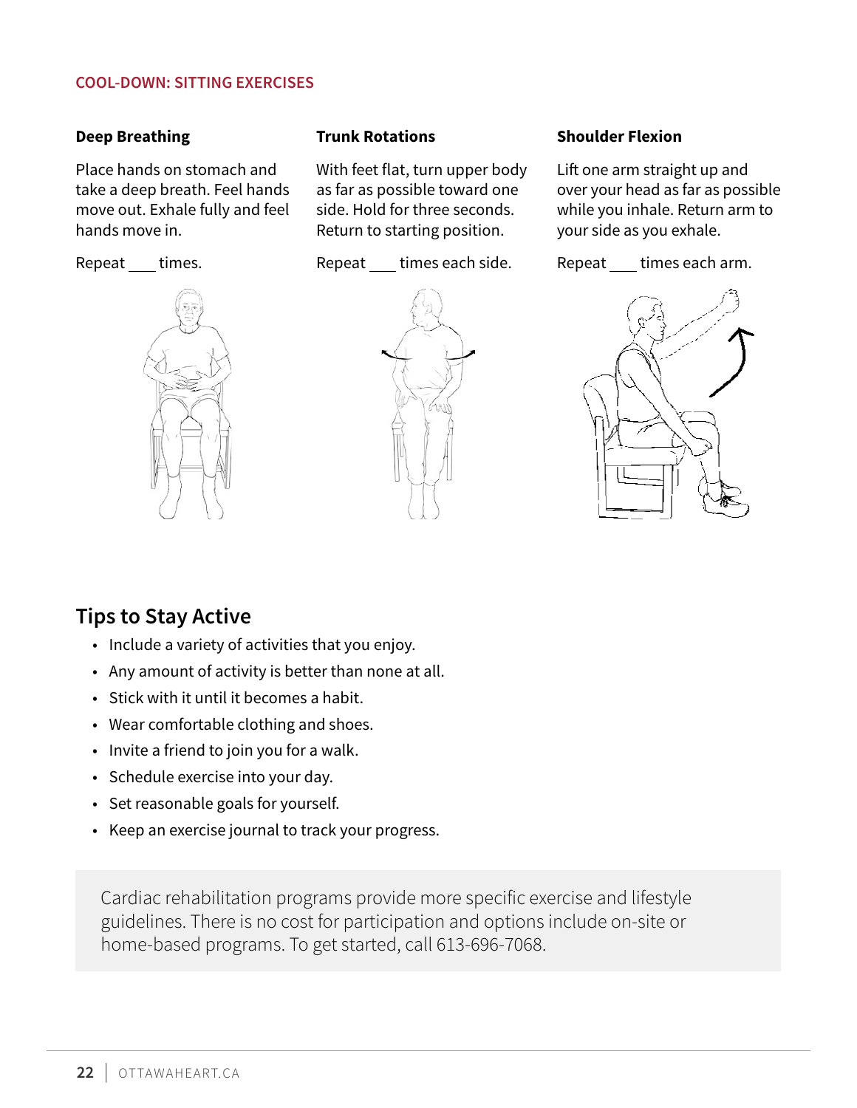#### <span id="page-21-0"></span>**COOL-DOWN: SITTING EXERCISES**

#### **Deep Breathing**

Place hands on stomach and take a deep breath. Feel hands move out. Exhale fully and feel hands move in.

Repeat times.



#### **Trunk Rotations**

With feet flat, turn upper body as far as possible toward one side. Hold for three seconds. Return to starting position.

Repeat times each side.



#### **Shoulder Flexion**

Lift one arm straight up and over your head as far as possible while you inhale. Return arm to your side as you exhale.

Repeat times each arm.



### **Tips to Stay Active**

- Include a variety of activities that you enjoy.
- Any amount of activity is better than none at all.
- Stick with it until it becomes a habit.
- Wear comfortable clothing and shoes.
- Invite a friend to join you for a walk.
- Schedule exercise into your day.
- Set reasonable goals for yourself.
- Keep an exercise journal to track your progress.

Cardiac rehabilitation programs provide more specific exercise and lifestyle guidelines. There is no cost for participation and options include on-site or home-based programs. To get started, call 613-696-7068.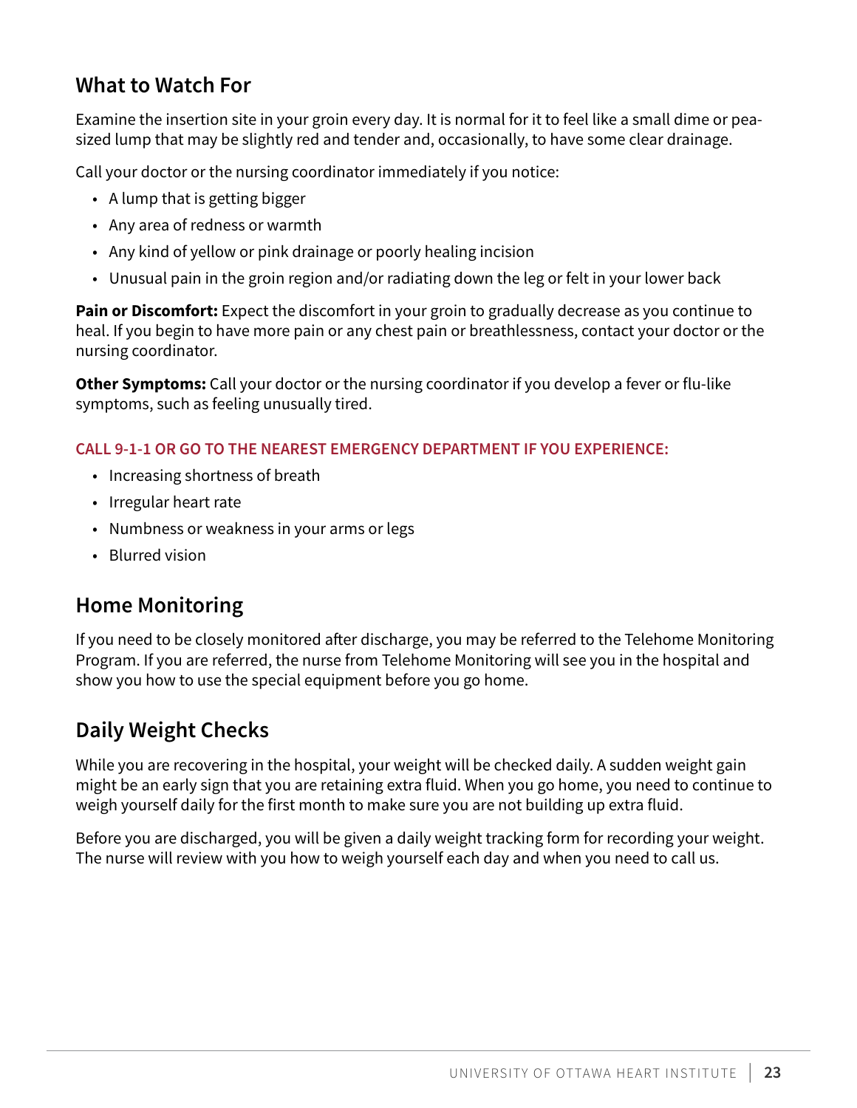# <span id="page-22-0"></span>**What to Watch For**

Examine the insertion site in your groin every day. It is normal for it to feel like a small dime or peasized lump that may be slightly red and tender and, occasionally, to have some clear drainage.

Call your doctor or the nursing coordinator immediately if you notice:

- A lump that is getting bigger
- Any area of redness or warmth
- Any kind of yellow or pink drainage or poorly healing incision
- Unusual pain in the groin region and/or radiating down the leg or felt in your lower back

**Pain or Discomfort:** Expect the discomfort in your groin to gradually decrease as you continue to heal. If you begin to have more pain or any chest pain or breathlessness, contact your doctor or the nursing coordinator.

**Other Symptoms:** Call your doctor or the nursing coordinator if you develop a fever or flu-like symptoms, such as feeling unusually tired.

### **CALL 9-1-1 OR GO TO THE NEAREST EMERGENCY DEPARTMENT IF YOU EXPERIENCE:**

- Increasing shortness of breath
- Irregular heart rate
- Numbness or weakness in your arms or legs
- Blurred vision

# **Home Monitoring**

If you need to be closely monitored after discharge, you may be referred to the Telehome Monitoring Program. If you are referred, the nurse from Telehome Monitoring will see you in the hospital and show you how to use the special equipment before you go home.

# **Daily Weight Checks**

While you are recovering in the hospital, your weight will be checked daily. A sudden weight gain might be an early sign that you are retaining extra fluid. When you go home, you need to continue to weigh yourself daily for the first month to make sure you are not building up extra fluid.

Before you are discharged, you will be given a daily weight tracking form for recording your weight. The nurse will review with you how to weigh yourself each day and when you need to call us.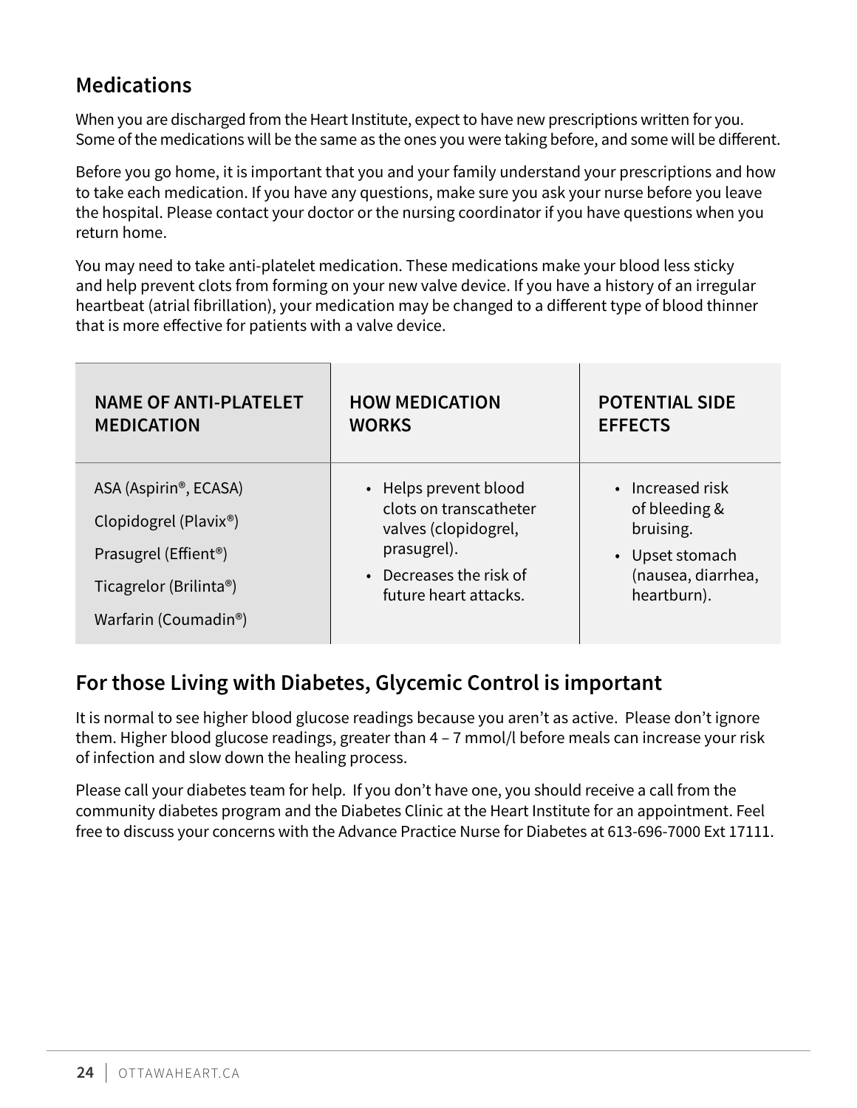# <span id="page-23-0"></span>**Medications**

When you are discharged from the Heart Institute, expect to have new prescriptions written for you. Some of the medications will be the same as the ones you were taking before, and some will be different.

Before you go home, it is important that you and your family understand your prescriptions and how to take each medication. If you have any questions, make sure you ask your nurse before you leave the hospital. Please contact your doctor or the nursing coordinator if you have questions when you return home.

You may need to take anti-platelet medication. These medications make your blood less sticky and help prevent clots from forming on your new valve device. If you have a history of an irregular heartbeat (atrial fibrillation), your medication may be changed to a different type of blood thinner that is more effective for patients with a valve device.

| <b>NAME OF ANTI-PLATELET</b>                                                                                                                                    | <b>HOW MEDICATION</b>                                                                                                                      | <b>POTENTIAL SIDE</b>                                                                                  |
|-----------------------------------------------------------------------------------------------------------------------------------------------------------------|--------------------------------------------------------------------------------------------------------------------------------------------|--------------------------------------------------------------------------------------------------------|
| <b>MEDICATION</b>                                                                                                                                               | <b>WORKS</b>                                                                                                                               | <b>EFFECTS</b>                                                                                         |
| ASA (Aspirin®, ECASA)<br>Clopidogrel (Plavix <sup>®</sup> )<br>Prasugrel (Effient <sup>®</sup> )<br>Ticagrelor (Brilinta®)<br>Warfarin (Coumadin <sup>®</sup> ) | • Helps prevent blood<br>clots on transcatheter<br>valves (clopidogrel,<br>prasugrel).<br>• Decreases the risk of<br>future heart attacks. | • Increased risk<br>of bleeding &<br>bruising.<br>• Upset stomach<br>(nausea, diarrhea,<br>heartburn). |

# **For those Living with Diabetes, Glycemic Control is important**

It is normal to see higher blood glucose readings because you aren't as active. Please don't ignore them. Higher blood glucose readings, greater than 4 – 7 mmol/l before meals can increase your risk of infection and slow down the healing process.

Please call your diabetes team for help. If you don't have one, you should receive a call from the community diabetes program and the Diabetes Clinic at the Heart Institute for an appointment. Feel free to discuss your concerns with the Advance Practice Nurse for Diabetes at 613-696-7000 Ext 17111.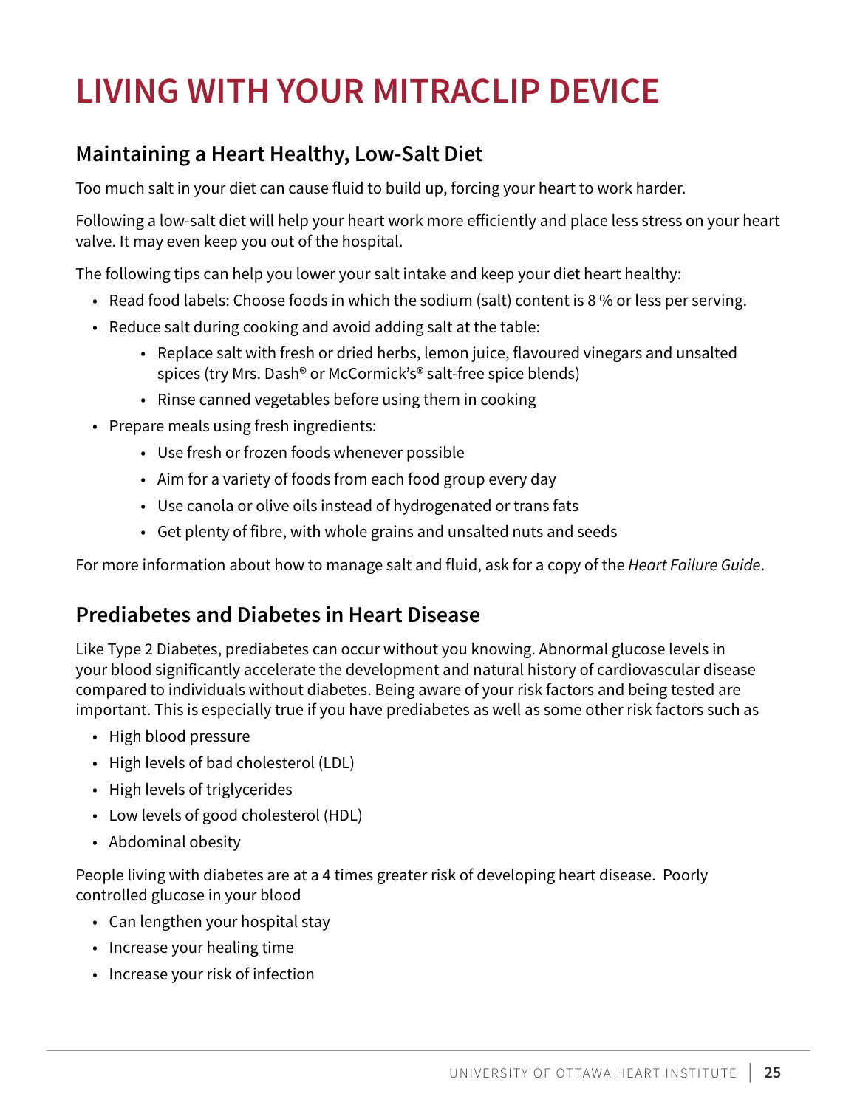# <span id="page-24-0"></span>**LIVING WITH YOUR MITRACLIP DEVICE**

# **Maintaining a Heart Healthy, Low-Salt Diet**

Too much salt in your diet can cause fluid to build up, forcing your heart to work harder.

Following a low-salt diet will help your heart work more efficiently and place less stress on your heart valve. It may even keep you out of the hospital.

The following tips can help you lower your salt intake and keep your diet heart healthy:

- Read food labels: Choose foods in which the sodium (salt) content is 8 % or less per serving.
- Reduce salt during cooking and avoid adding salt at the table:
	- Replace salt with fresh or dried herbs, lemon juice, flavoured vinegars and unsalted spices (try Mrs. Dash® or McCormick's® salt-free spice blends)
	- Rinse canned vegetables before using them in cooking
- Prepare meals using fresh ingredients:
	- Use fresh or frozen foods whenever possible
	- Aim for a variety of foods from each food group every day
	- Use canola or olive oils instead of hydrogenated or trans fats
	- Get plenty of fibre, with whole grains and unsalted nuts and seeds

For more information about how to manage salt and fluid, ask for a copy of the *Heart Failure Guide*.

# **Prediabetes and Diabetes in Heart Disease**

Like Type 2 Diabetes, prediabetes can occur without you knowing. Abnormal glucose levels in your blood significantly accelerate the development and natural history of cardiovascular disease compared to individuals without diabetes. Being aware of your risk factors and being tested are important. This is especially true if you have prediabetes as well as some other risk factors such as

- High blood pressure
- High levels of bad cholesterol (LDL)
- High levels of triglycerides
- Low levels of good cholesterol (HDL)
- Abdominal obesity

People living with diabetes are at a 4 times greater risk of developing heart disease. Poorly controlled glucose in your blood

- Can lengthen your hospital stay
- Increase your healing time
- Increase your risk of infection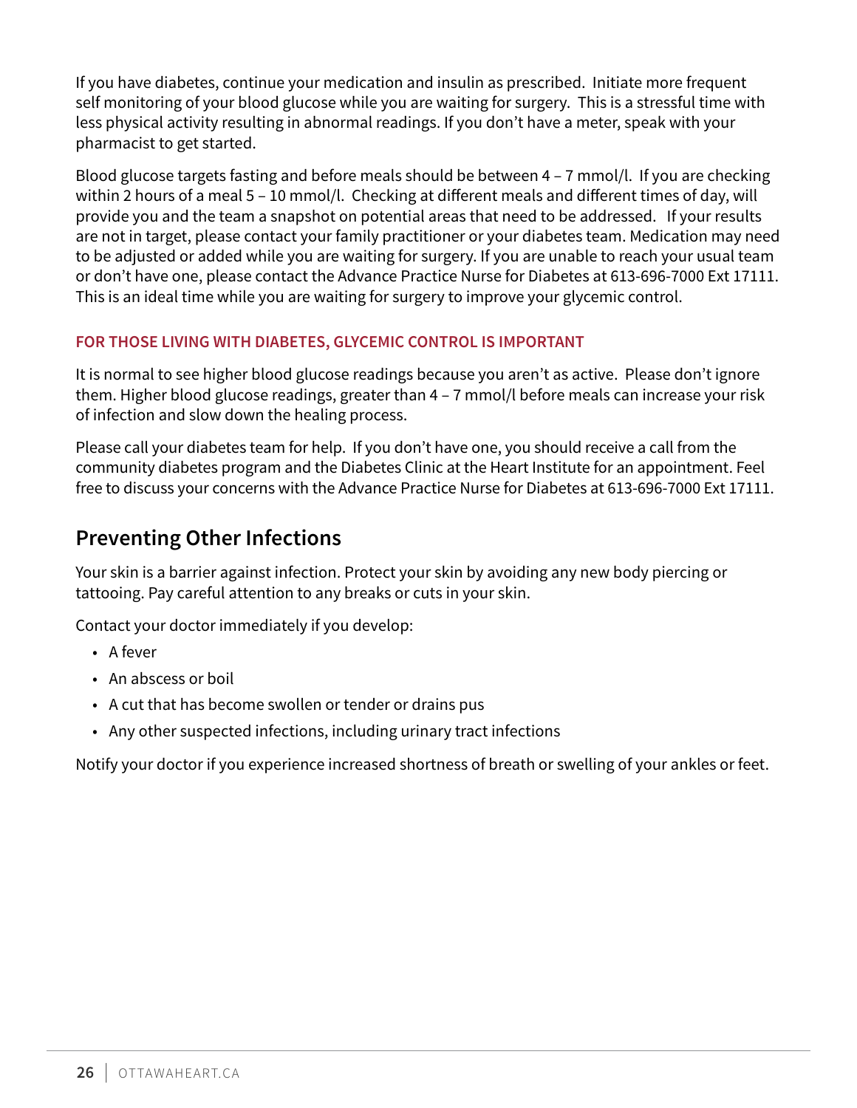<span id="page-25-0"></span>If you have diabetes, continue your medication and insulin as prescribed. Initiate more frequent self monitoring of your blood glucose while you are waiting for surgery. This is a stressful time with less physical activity resulting in abnormal readings. If you don't have a meter, speak with your pharmacist to get started.

Blood glucose targets fasting and before meals should be between 4 – 7 mmol/l. If you are checking within 2 hours of a meal 5 - 10 mmol/l. Checking at different meals and different times of day, will provide you and the team a snapshot on potential areas that need to be addressed. If your results are not in target, please contact your family practitioner or your diabetes team. Medication may need to be adjusted or added while you are waiting for surgery. If you are unable to reach your usual team or don't have one, please contact the Advance Practice Nurse for Diabetes at 613-696-7000 Ext 17111. This is an ideal time while you are waiting for surgery to improve your glycemic control.

### **FOR THOSE LIVING WITH DIABETES, GLYCEMIC CONTROL IS IMPORTANT**

It is normal to see higher blood glucose readings because you aren't as active. Please don't ignore them. Higher blood glucose readings, greater than 4 – 7 mmol/l before meals can increase your risk of infection and slow down the healing process.

Please call your diabetes team for help. If you don't have one, you should receive a call from the community diabetes program and the Diabetes Clinic at the Heart Institute for an appointment. Feel free to discuss your concerns with the Advance Practice Nurse for Diabetes at 613-696-7000 Ext 17111.

# **Preventing Other Infections**

Your skin is a barrier against infection. Protect your skin by avoiding any new body piercing or tattooing. Pay careful attention to any breaks or cuts in your skin.

Contact your doctor immediately if you develop:

- A fever
- An abscess or boil
- A cut that has become swollen or tender or drains pus
- Any other suspected infections, including urinary tract infections

Notify your doctor if you experience increased shortness of breath or swelling of your ankles or feet.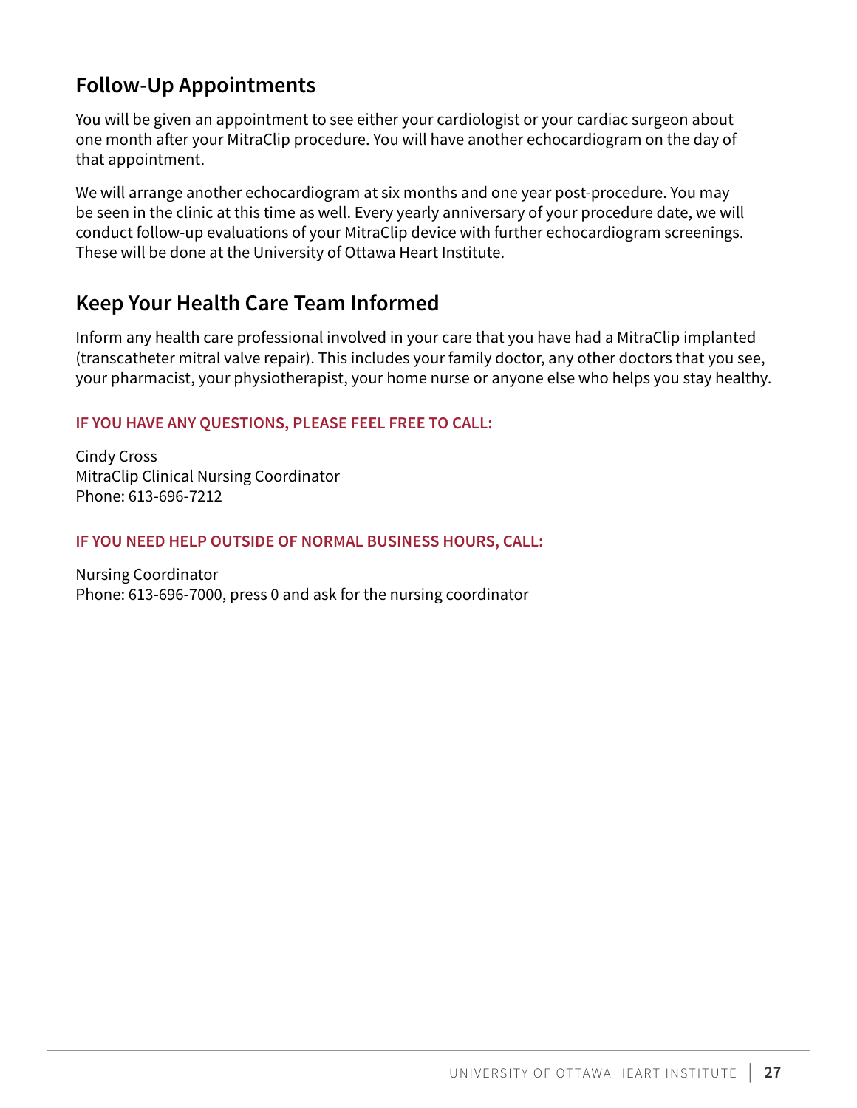# <span id="page-26-0"></span>**Follow-Up Appointments**

You will be given an appointment to see either your cardiologist or your cardiac surgeon about one month after your MitraClip procedure. You will have another echocardiogram on the day of that appointment.

We will arrange another echocardiogram at six months and one year post-procedure. You may be seen in the clinic at this time as well. Every yearly anniversary of your procedure date, we will conduct follow-up evaluations of your MitraClip device with further echocardiogram screenings. These will be done at the University of Ottawa Heart Institute.

# **Keep Your Health Care Team Informed**

Inform any health care professional involved in your care that you have had a MitraClip implanted (transcatheter mitral valve repair). This includes your family doctor, any other doctors that you see, your pharmacist, your physiotherapist, your home nurse or anyone else who helps you stay healthy.

### **IF YOU HAVE ANY QUESTIONS, PLEASE FEEL FREE TO CALL:**

Cindy Cross MitraClip Clinical Nursing Coordinator Phone: 613-696-7212

### **IF YOU NEED HELP OUTSIDE OF NORMAL BUSINESS HOURS, CALL:**

Nursing Coordinator Phone: 613-696-7000, press 0 and ask for the nursing coordinator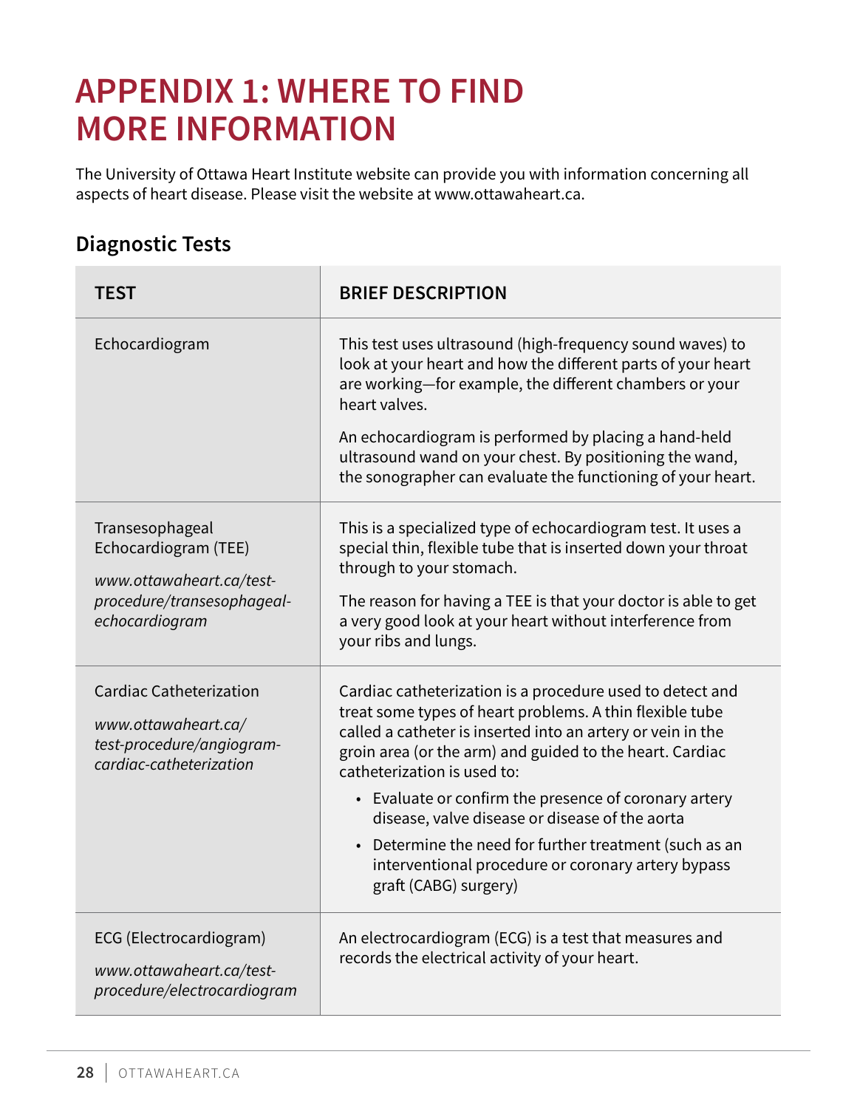# <span id="page-27-0"></span>**APPENDIX 1: WHERE TO FIND MORE INFORMATION**

The University of Ottawa Heart Institute website can provide you with information concerning all aspects of heart disease. Please visit the website at [www.ottawaheart.ca](http://www.ottawaheart.ca/).

# **Diagnostic Tests**

| <b>TEST</b>                                                                                                         | <b>BRIEF DESCRIPTION</b>                                                                                                                                                                                                                                                                                                                                                                                                                           |
|---------------------------------------------------------------------------------------------------------------------|----------------------------------------------------------------------------------------------------------------------------------------------------------------------------------------------------------------------------------------------------------------------------------------------------------------------------------------------------------------------------------------------------------------------------------------------------|
| Echocardiogram                                                                                                      | This test uses ultrasound (high-frequency sound waves) to<br>look at your heart and how the different parts of your heart<br>are working-for example, the different chambers or your<br>heart valves.<br>An echocardiogram is performed by placing a hand-held<br>ultrasound wand on your chest. By positioning the wand,                                                                                                                          |
|                                                                                                                     | the sonographer can evaluate the functioning of your heart.                                                                                                                                                                                                                                                                                                                                                                                        |
| Transesophageal<br>Echocardiogram (TEE)<br>www.ottawaheart.ca/test-<br>procedure/transesophageal-<br>echocardiogram | This is a specialized type of echocardiogram test. It uses a<br>special thin, flexible tube that is inserted down your throat<br>through to your stomach.<br>The reason for having a TEE is that your doctor is able to get<br>a very good look at your heart without interference from<br>your ribs and lungs.                                                                                                                                    |
| <b>Cardiac Catheterization</b><br>www.ottawaheart.ca/<br>test-procedure/angiogram-<br>cardiac-catheterization       | Cardiac catheterization is a procedure used to detect and<br>treat some types of heart problems. A thin flexible tube<br>called a catheter is inserted into an artery or vein in the<br>groin area (or the arm) and guided to the heart. Cardiac<br>catheterization is used to:<br>• Evaluate or confirm the presence of coronary artery<br>disease, valve disease or disease of the aorta<br>Determine the need for further treatment (such as an |
|                                                                                                                     | interventional procedure or coronary artery bypass<br>graft (CABG) surgery)                                                                                                                                                                                                                                                                                                                                                                        |
| ECG (Electrocardiogram)<br>www.ottawaheart.ca/test-<br>procedure/electrocardiogram                                  | An electrocardiogram (ECG) is a test that measures and<br>records the electrical activity of your heart.                                                                                                                                                                                                                                                                                                                                           |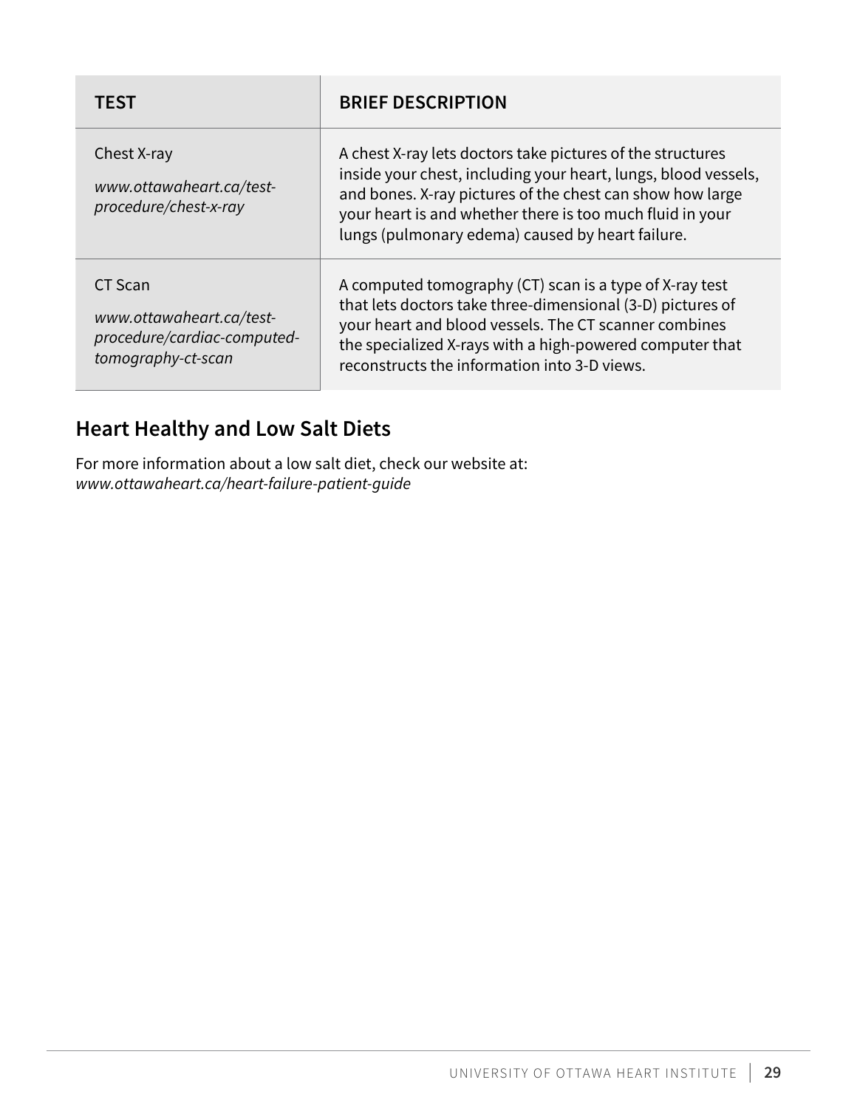<span id="page-28-0"></span>

| TEST                                                                                     | <b>BRIEF DESCRIPTION</b>                                                                                                                                                                                                                                                                                   |
|------------------------------------------------------------------------------------------|------------------------------------------------------------------------------------------------------------------------------------------------------------------------------------------------------------------------------------------------------------------------------------------------------------|
| Chest X-ray<br>www.ottawaheart.ca/test-<br>procedure/chest-x-ray                         | A chest X-ray lets doctors take pictures of the structures<br>inside your chest, including your heart, lungs, blood vessels,<br>and bones. X-ray pictures of the chest can show how large<br>your heart is and whether there is too much fluid in your<br>lungs (pulmonary edema) caused by heart failure. |
| CT Scan<br>www.ottawaheart.ca/test-<br>procedure/cardiac-computed-<br>tomography-ct-scan | A computed tomography (CT) scan is a type of X-ray test<br>that lets doctors take three-dimensional (3-D) pictures of<br>your heart and blood vessels. The CT scanner combines<br>the specialized X-rays with a high-powered computer that<br>reconstructs the information into 3-D views.                 |

# **Heart Healthy and Low Salt Diets**

For more information about a low salt diet, check our website at: *www.ottawaheart.ca/heart-failure-patient-guide*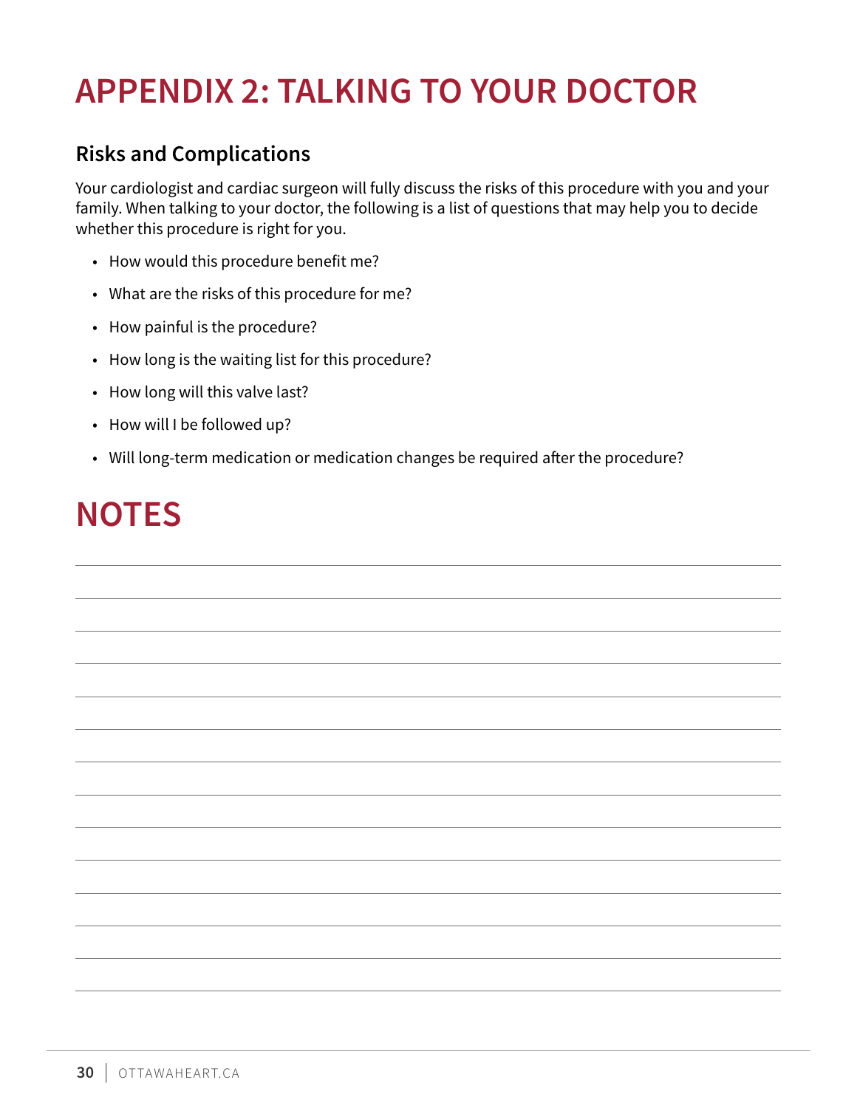# <span id="page-29-0"></span>**APPENDIX 2: TALKING TO YOUR DOCTOR**

# **Risks and Complications**

Your cardiologist and cardiac surgeon will fully discuss the risks of this procedure with you and your family. When talking to your doctor, the following is a list of questions that may help you to decide whether this procedure is right for you.

- How would this procedure benefit me?
- What are the risks of this procedure for me?
- How painful is the procedure?
- How long is the waiting list for this procedure?
- How long will this valve last?
- How will I be followed up?
- Will long-term medication or medication changes be required after the procedure?

# **NOTES**